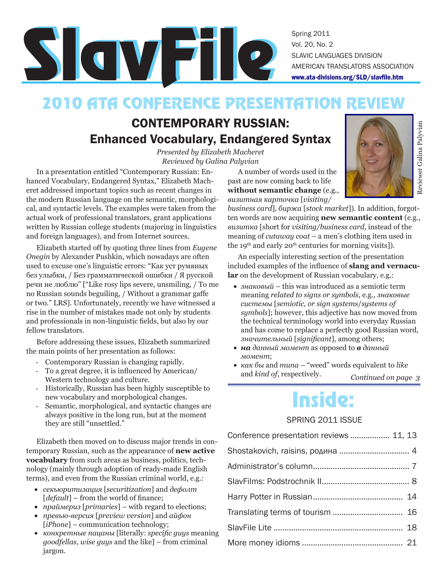## 2010 ATA CONFERENCE PRESENTATION REVIEW

### CONTEMPORARY RUSSIAN: Enhanced Vocabulary, Endangered Syntax

*Presented by Elizabeth Macheret Reviewed by Galina Palyvian*

In a presentation entitled "Contemporary Russian: Enhanced Vocabulary, Endangered Syntax," Elizabeth Macheret addressed important topics such as recent changes in the modern Russian language on the semantic, morphological, and syntactic levels. The examples were taken from the actual work of professional translators, grant applications written by Russian college students (majoring in linguistics and foreign languages), and from Internet sources.

Elizabeth started off by quoting three lines from *Eugene Onegin* by Alexander Pushkin, which nowadays are often used to excuse one's linguistic errors: "Как уст румяных без улыбки, / Без грамматической ошибки / Я русской речи не люблю" ["Like rosy lips severe, unsmiling, / To me no Russian sounds beguiling, / Without a grammar gaffe or two." LRS]. Unfortunately, recently we have witnessed a rise in the number of mistakes made not only by students and professionals in non-linguistic fields, but also by our fellow translators.

Before addressing these issues, Elizabeth summarized the main points of her presentation as follows:

- Contemporary Russian is changing rapidly.
- To a great degree, it is influenced by American/ Western technology and culture.
- Historically, Russian has been highly susceptible to new vocabulary and morphological changes.
- Semantic, morphological, and syntactic changes are always positive in the long run, but at the moment they are still "unsettled."

Elizabeth then moved on to discuss major trends in contemporary Russian, such as the appearance of **new active vocabulary** from such areas as business, politics, technology (mainly through adoption of ready-made English terms), and even from the Russian criminal world, e.g.:

- • *секьюритизация* [*securitization*] and *дефолт*  [*default*] – from the world of finance;
- • *праймериз* [*primaries*] with regard to elections;
- • *превью-версия* [*preview version*] and *айфон*  [*iPhone*] – communication technology;
- • *конкретные пацаны* [literally: *specific guys* meaning *goodfellas, wise guys* and the like] – from criminal jargon.

A number of words used in the past are now coming back to life **without semantic change** (e.g., *визитная карточка* [*visiting/*

*business card*]*, биржа* [*stock market*]). In addition, forgotten words are now acquiring **new semantic content** (e.g., *визитка* [short for *visiting/business card,* instead of the meaning of *cutaway coat* – a men's clothing item used in the 19<sup>th</sup> and early 20<sup>th</sup> centuries for morning visits]).

An especially interesting section of the presentation included examples of the influence of **slang and vernacular** on the development of Russian vocabulary, e.g.:

- • *знаковый*  this was introduced as a semiotic term meaning *related to signs or symbols*, e.g., *знаковые системы* [*semiotic, or sign systems*/*systems of symbols*]; however, this adjective has now moved from the technical terminology world into everyday Russian and has come to replace a perfectly good Russian word, *значительный* [*significant*], among others;
- **на** данный момент as opposed to **в** данный *момент*;
- *Continued on page 3* • *как бы* and *типа* – "weed" words equivalent to *like*  and *kind of*, respectively.

# Inside:

### SPRING 2011 ISSUE

| Conference presentation reviews  11, 13 |  |
|-----------------------------------------|--|
|                                         |  |
|                                         |  |
|                                         |  |
|                                         |  |
|                                         |  |
|                                         |  |
|                                         |  |

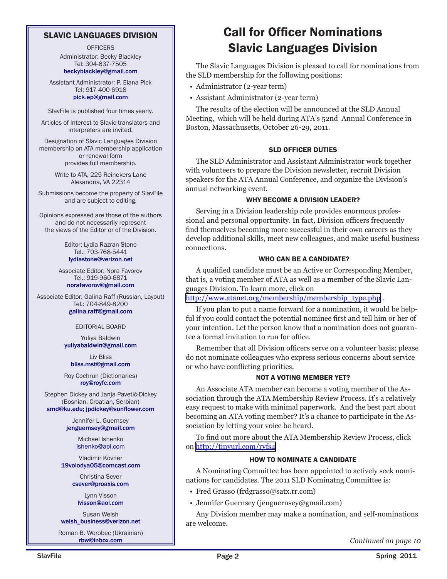### SLAVIC LANGUAGES DIVISION

**OFFICERS** Administrator: Becky Blackley Tel: 304-637-7505 beckyblackley@gmail.com

Assistant Administrator: P. Elana Pick Tel: 917-400-6918 pick.ep@gmail.com

SlavFile is published four times yearly.

Articles of interest to Slavic translators and interpreters are invited.

Designation of Slavic Languages Division membership on ATA membership application or renewal form provides full membership.

> Write to ATA, 225 Reinekers Lane Alexandria, VA 22314

Submissions become the property of SlavFile and are subject to editing.

Opinions expressed are those of the authors and do not necessarily represent the views of the Editor or of the Division.

> Editor: Lydia Razran Stone Tel.: 703-768-5441 lydiastone@verizon.net

Associate Editor: Nora Favorov Tel.: 919-960-6871 norafavorov@gmail.com

Associate Editor: Galina Raff (Russian, Layout) Tel.: 704-849-8200 galina.raff@gmail.com

#### EDITORIAL BOARD

Yuliya Baldwin yuliyabaldwin@gmail.com

Liv Bliss bliss.mst@gmail.com

Roy Cochrun (Dictionaries) roy@royfc.com

Stephen Dickey and Janja Pavetić-Dickey (Bosnian, Croatian, Serbian) smd@ku.edu; jpdickey@sunflower.com

> Jennifer L. Guernsey jenguernsey@gmail.com

> > Michael Ishenko ishenko@aol.com

Vladimir Kovner 19volodya05@comcast.com

> Christina Sever csever@proaxis.com

Lynn Visson lvisson@aol.com

Susan Welsh welsh\_business@verizon.net

Roman B. Worobec (Ukrainian)<br>rbw@inbox.com

### Call for Officer Nominations Slavic Languages Division

The Slavic Languages Division is pleased to call for nominations from the SLD membership for the following positions:

- Administrator (2-year term)
- Assistant Administrator (2-year term)

The results of the election will be announced at the SLD Annual Meeting, which will be held during ATA's 52nd Annual Conference in Boston, Massachusetts, October 26-29, 2011.

#### SLD OFFICER DUTIES

The SLD Administrator and Assistant Administrator work together with volunteers to prepare the Division newsletter, recruit Division speakers for the ATA Annual Conference, and organize the Division's annual networking event.

#### WHY BECOME A DIVISION LEADER?

Serving in a Division leadership role provides enormous professional and personal opportunity. In fact, Division officers frequently find themselves becoming more successful in their own careers as they develop additional skills, meet new colleagues, and make useful business connections.

#### WHO CAN BE A CANDIDATE?

A qualified candidate must be an Active or Corresponding Member, that is, a voting member of ATA as well as a member of the Slavic Languages Division. To learn more, click on

[http://www.atanet.org/membership/membership\\_type.php](http://www.atanet.org/membership/membership_type.php).

If you plan to put a name forward for a nomination, it would be helpful if you could contact the potential nominee first and tell him or her of your intention. Let the person know that a nomination does not guarantee a formal invitation to run for office.

Remember that all Division officers serve on a volunteer basis; please do not nominate colleagues who express serious concerns about service or who have conflicting priorities.

#### NOT A VOTING MEMBER YET?

An Associate ATA member can become a voting member of the Association through the ATA Membership Review Process. It's a relatively easy request to make with minimal paperwork. And the best part about becoming an ATA voting member? It's a chance to participate in the Association by letting your voice be heard.

To find out more about the ATA Membership Review Process, click on<http://tinyurl.com/ryfs4>

#### HOW TO NOMINATE A CANDIDATE

A Nominating Committee has been appointed to actively seek nominations for candidates. The 2011 SLD Nominatng Committee is:

- Fred Grasso (frdgrasso@satx.rr.com)
- Jennifer Guernsey (jenguernsey@gmail.com)

Any Division member may make a nomination, and self-nominations are welcome.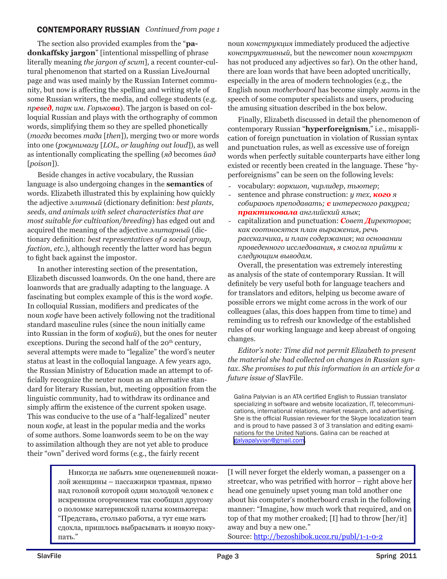### CONTEMPORARY RUSSIAN *Continued from page 1*

The section also provided examples from the "**padonkaffsky jargon**" [intentional misspelling of phrase literally meaning *the jargon of scum*], a recent counter-cultural phenomenon that started on a Russian LiveJournal page and was used mainly by the Russian Internet community, but now is affecting the spelling and writing style of some Russian writers, the media, and college students (e.g. *превед, парк им. Горькова*). The jargon is based on colloquial Russian and plays with the orthography of common words, simplifying them so they are spelled phonetically (*тогда* becomes *тада* [*then*]), merging two or more words into one (*ржунимагу* [*LOL, or laughing out loud*]), as well as intentionally complicating the spelling (*яд* becomes *йад*  [*poison*]).

Beside changes in active vocabulary, the Russian language is also undergoing changes in the **semantics** of words. Elizabeth illustrated this by explaining how quickly the adjective *элитный* (dictionary definition: *best plants, seeds, and animals with select characteristics that are most suitable for cultivation/breeding*) has edged out and acquired the meaning of the adjective *элитарный* (dictionary definition: *best representatives of a social group, faction, etc.*), although recently the latter word has begun to fight back against the impostor.

In another interesting section of the presentation, Elizabeth discussed loanwords. On the one hand, there are loanwords that are gradually adapting to the language. A fascinating but complex example of this is the word *кофе*. In colloquial Russian, modifiers and predicates of the noun *кофе* have been actively following not the traditional standard masculine rules (since the noun initially came into Russian in the form of *кофий*), but the ones for neuter exceptions. During the second half of the  $20<sup>th</sup>$  century, several attempts were made to "legalize" the word's neuter status at least in the colloquial language. A few years ago, the Russian Ministry of Education made an attempt to officially recognize the neuter noun as an alternative standard for literary Russian, but, meeting opposition from the linguistic community, had to withdraw its ordinance and simply affirm the existence of the current spoken usage. This was conducive to the use of a "half-legalized" neuter noun *кофе*, at least in the popular media and the works of some authors. Some loanwords seem to be on the way to assimilation although they are not yet able to produce their "own" derived word forms (e.g., the fairly recent

noun *конструкция* immediately produced the adjective *конструктивный*, but the newcomer noun *конструкт* has not produced any adjectives so far). On the other hand, there are loan words that have been adopted uncritically, especially in the area of modern technologies (e.g., the English noun *motherboard* has become simply *мать* in the speech of some computer specialists and users, producing the amusing situation described in the box below.

Finally, Elizabeth discussed in detail the phenomenon of contemporary Russian "**hyperforeignism**," i.e., misapplication of foreign punctuation in violation of Russian syntax and punctuation rules, as well as excessive use of foreign words when perfectly suitable counterparts have either long existed or recently been created in the language. These "hyperforeignisms" can be seen on the following levels:

- - vocabulary: *воркшоп, чирлидер, тьютер*;
- sentence and phrase construction: *у тех*, *кого* я *собираюсь преподавать; с интересного ракурса; практиковала английский язык*;
- - capitalization and punctuation: *Совет Директоров*; *как соотносятся план выражения, речь рассказчика, и план содержания*; *на основании проведенного исследования, я смогла прийти к следующим выводам.*

Overall, the presentation was extremely interesting as analysis of the state of contemporary Russian. It will definitely be very useful both for language teachers and for translators and editors, helping us become aware of possible errors we might come across in the work of our colleagues (alas, this does happen from time to time) and reminding us to refresh our knowledge of the established rules of our working language and keep abreast of ongoing changes.

*Editor's note: Time did not permit Elizabeth to present the material she had collected on changes in Russian syntax. She promises to put this information in an article for a future issue of* SlavFile*.*

Galina Palyvian is an ATA certified English to Russian translator specializing in software and website localization, IT, telecommunications, international relations, market research, and advertising. She is the official Russian reviewer for the Skype localization team and is proud to have passed 3 of 3 translation and editing examinations for the United Nations. Galina can be reached at [galyapalyvian@gmail.com](mailto:galyapalyvian@gmail.com).

Никогда не забыть мне оцепеневшей пожилой женщины – пассажирки трамвая, прямо над головой которой один молодой человек с искренним огорчением так сообщил другому о поломке материнской платы компьютера: "Представь, столько работы, а тут еще мать сдохла, пришлось выбрасывать и новую покупать."

[I will never forget the elderly woman, a passenger on a streetcar, who was petrified with horror – right above her head one genuinely upset young man told another one about his computer's motherboard crash in the following manner: "Imagine, how much work that required, and on top of that my mother croaked; [I] had to throw [her/it] away and buy a new one." Source: http://bezoshibok.ucoz.ru/publ/1-1-0-2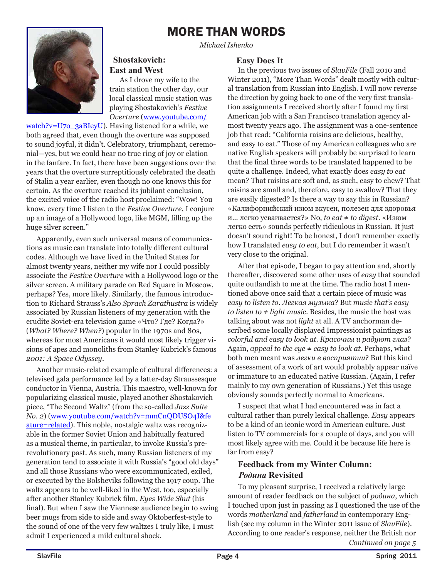### MORE THAN WORDS

*Michael Ishenko*



### **Shostakovich: East and West**

As I drove my wife to the train station the other day, our local classical music station was playing Shostakovich's *Festive Overture* (www.youtube.com/

watch?v=U7o\_3aBIeyU). Having listened for a while, we both agreed that, even though the overture was supposed to sound joyful, it didn't. Celebratory, triumphant, ceremonial—yes, but we could hear no true ring of joy or elation in the fanfare. In fact, there have been suggestions over the years that the overture surreptitiously celebrated the death of Stalin a year earlier, even though no one knows this for certain. As the overture reached its jubilant conclusion, the excited voice of the radio host proclaimed: "Wow! You know, every time I listen to the *Festive Overture*, I conjure up an image of a Hollywood logo, like MGM, filling up the huge silver screen."

Apparently, even such universal means of communications as music can translate into totally different cultural codes. Although we have lived in the United States for almost twenty years, neither my wife nor I could possibly associate the *Festive Overture* with a Hollywood logo or the silver screen. A military parade on Red Square in Moscow, perhaps? Yes, more likely. Similarly, the famous introduction to Richard Strauss's *Also Sprach Zarathustra* is widely associated by Russian listeners of my generation with the erudite Soviet-era television game «Что? Где? Когда?» (*What? Where? When?*) popular in the 1970s and 80s, whereas for most Americans it would most likely trigger visions of apes and monoliths from Stanley Kubrick's famous *2001: A Space Odyssey*.

Another music-related example of cultural differences: a televised gala performance led by a latter-day Straussesque conductor in Vienna, Austria. This maestro, well-known for popularizing classical music, played another Shostakovich piece, "The Second Waltz" (from the so-called *Jazz Suite No. 2*) (www.youtube.com/watch?v=mmCnQDUSO4I&fe ature=related). This noble, nostalgic waltz was recognizable in the former Soviet Union and habitually featured as a musical theme, in particular, to invoke Russia's prerevolutionary past. As such, many Russian listeners of my generation tend to associate it with Russia's "good old days" and all those Russians who were excommunicated, exiled, or executed by the Bolsheviks following the 1917 coup. The waltz appears to be well-liked in the West, too, especially after another Stanley Kubrick film, *Eyes Wide Shut* (his final). But when I saw the Viennese audience begin to swing beer mugs from side to side and sway Oktoberfest-style to the sound of one of the very few waltzes I truly like, I must admit I experienced a mild cultural shock.

### **Easy Does It**

In the previous two issues of *SlavFile* (Fall 2010 and Winter 2011), "More Than Words" dealt mostly with cultural translation from Russian into English. I will now reverse the direction by going back to one of the very first translation assignments I received shortly after I found my first American job with a San Francisco translation agency almost twenty years ago. The assignment was a one-sentence job that read: "California raisins are delicious, healthy, and easy to eat." Those of my American colleagues who are native English speakers will probably be surprised to learn that the final three words to be translated happened to be quite a challenge. Indeed, what exactly does *easy to eat* mean? That raisins are soft and, as such, easy to chew? That raisins are small and, therefore, easy to swallow? That they are easily digested? Is there a way to say this in Russian? «Калифорнийский изюм вкусен, полезен для здоровья и... легко усваивается?» No, *to eat* ≠ *to digest*. «Изюм легко есть» sounds perfectly ridiculous in Russian. It just doesn't sound right! To be honest, I don't remember exactly how I translated *easy to eat*, but I do remember it wasn't very close to the original.

After that episode, I began to pay attention and, shortly thereafter, discovered some other uses of *easy* that sounded quite outlandish to me at the time. The radio host I mentioned above once said that a certain piece of music was *easy to listen to*. *Легкая музыка*? But *music that's easy to listen to* ≠ *light music*. Besides, the music the host was talking about was not *light* at all. A TV anchorman described some locally displayed Impressionist paintings as *colorful and easy to look at*. *Красочны и радуют глаз*? Again, *appeal to the eye* ≠ *easy to look at.* Perhaps, what both men meant was *легки в восприятии*? But this kind of assessment of a work of art would probably appear naïve or immature to an educated native Russian. (Again, I refer mainly to my own generation of Russians.) Yet this usage obviously sounds perfectly normal to Americans.

I suspect that what I had encountered was in fact a cultural rather than purely lexical challenge. *Easy* appears to be a kind of an iconic word in American culture. Just listen to TV commercials for a couple of days, and you will most likely agree with me. Could it be because life here is far from easy?

### **Feedback from my Winter Column:** *Родина* **Revisited**

*Continued on page 5*  To my pleasant surprise, I received a relatively large amount of reader feedback on the subject of *родина*, which I touched upon just in passing as I questioned the use of the words *motherland* and *fatherland* in contemporary English (see my column in the Winter 2011 issue of *SlavFile*). According to one reader's response, neither the British nor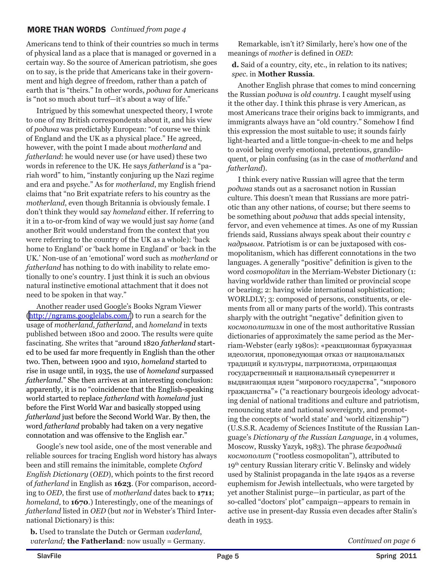### MORE THAN WORDS *Continued from page 4*

Americans tend to think of their countries so much in terms of physical land as a place that is managed or governed in a certain way. So the source of American patriotism, she goes on to say, is the pride that Americans take in their government and high degree of freedom, rather than a patch of earth that is "theirs." In other words, *родина* for Americans is "not so much about turf—it's about a way of life."

Intrigued by this somewhat unexpected theory, I wrote to one of my British correspondents about it, and his view of *родина* was predictably European: "of course we think of England and the UK as a physical place." He agreed, however, with the point I made about *motherland* and *fatherland*: he would never use (or have used) these two words in reference to the UK. He says *fatherland* is a "pariah word" to him, "instantly conjuring up the Nazi regime and era and psyche." As for *motherland*, my English friend claims that "no Brit expatriate refers to his country as the *motherland*, even though Britannia is obviously female. I don't think they would say *homeland* either. If referring to it in a to-or-from kind of way we would just say *home* (and another Brit would understand from the context that you were referring to the country of the UK as a whole): 'back home to England' or 'back home in England' or 'back in the UK.' Non-use of an 'emotional' word such as *motherland* or *fatherland* has nothing to do with inability to relate emotionally to one's country. I just think it is such an obvious natural instinctive emotional attachment that it does not need to be spoken in that way."

Another reader used Google's Books Ngram Viewer (<http://ngrams.googlelabs.com/>) to run a search for the usage of *motherland*, *fatherland*, and *homeland* in texts published between 1800 and 2000. The results were quite fascinating. She writes that "around 1820 *fatherland* started to be used far more frequently in English than the other two. Then, between 1900 and 1910, *homeland* started to rise in usage until, in 1935, the use of *homeland* surpassed *fatherland*." She then arrives at an interesting conclusion: apparently, it is no "coincidence that the English-speaking world started to replace *fatherland* with *homeland* just before the First World War and basically stopped using *fatherland* just before the Second World War. By then, the word *fatherland* probably had taken on a very negative connotation and was offensive to the English ear."

Google's new tool aside, one of the most venerable and reliable sources for tracing English word history has always been and still remains the inimitable, complete *Oxford English Dictionary* (*OED*), which points to the first record of *fatherland* in English as **1623**. (For comparison, according to *OED*, the first use of *motherland* dates back to **1711**; *homeland*, to **1670**.) Interestingly, one of the meanings of *fatherland* listed in *OED* (but *not* in Webster's Third International Dictionary) is this:

**b.** Used to translate the Dutch or German *vaderland*, *vaterland*; **the Fatherland**: now usually = Germany.

Remarkable, isn't it? Similarly, here's how one of the meanings of *mother* is defined in *OED*:

**d.** Said of a country, city, etc., in relation to its natives; *spec.* in **Mother Russia**.

Another English phrase that comes to mind concerning the Russian *родина* is *old country*. I caught myself using it the other day. I think this phrase is very American, as most Americans trace their origins back to immigrants, and immigrants always have an "old country." Somehow I find this expression the most suitable to use; it sounds fairly light-hearted and a little tongue-in-cheek to me and helps to avoid being overly emotional, pretentious, grandiloquent, or plain confusing (as in the case of *motherland* and *fatherland*).

I think every native Russian will agree that the term *родина* stands out as a sacrosanct notion in Russian culture. This doesn't mean that Russians are more patriotic than any other nations, of course; but there seems to be something about *родина* that adds special intensity, fervor, and even vehemence at times. As one of my Russian friends said, Russians always speak about their country *с надрывом*. Patriotism is or can be juxtaposed with cosmopolitanism, which has different connotations in the two languages. A generally "positive" definition is given to the word *cosmopolitan* in the Merriam-Webster Dictionary (1: having worldwide rather than limited or provincial scope or bearing; 2: having wide international sophistication; WORLDLY; 3: composed of persons, constituents, or elements from all or many parts of the world). This contrasts sharply with the outright "negative" definition given to *космополитизм* in one of the most authoritative Russian dictionaries of approximately the same period as the Merriam-Webster (early 1980s): «реакционная буржуазная идеология, проповедующая отказ от национальных традиций и культуры, патриотизма, отрицающая государственный и национальный суверенитет и выдвигающая идеи "мирового государства", "мирового гражданства"» ("a reactionary bourgeois ideology advocating denial of national traditions and culture and patriotism, renouncing state and national sovereignty, and promoting the concepts of 'world state' and 'world citizenship'") (U.S.S.R. Academy of Sciences Institute of the Russian Language's *Dictionary of the Russian Language*, in 4 volumes, Moscow, Russky Yazyk, 1983). The phrase *безродный космополит* ("rootless cosmopolitan"), attributed to 19th century Russian literary critic V. Belinsky and widely used by Stalinist propaganda in the late 1940s as a reverse euphemism for Jewish intellectuals, who were targeted by yet another Stalinist purge—in particular, as part of the so-called "doctors' plot" campaign—appears to remain in active use in present-day Russia even decades after Stalin's death in 1953.

*Continued on page 6*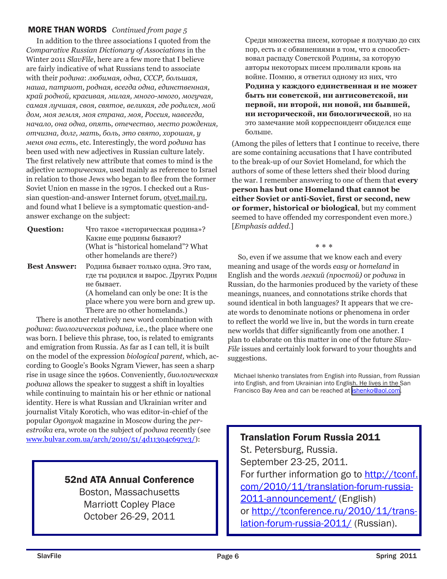### MORE THAN WORDS *Continued from page 5*

In addition to the three associations I quoted from the *Comparative Russian Dictionary of Associations* in the Winter 2011 *SlavFile*, here are a few more that I believe are fairly indicative of what Russians tend to associate with their *родина*: *любимая, одна, СССР, большая, наша, патриот, родная, всегда одна, единственная, край родной, красивая, милая, много-много, могучая, самая лучшая, своя, святое, великая, где родился, мой дом, моя земля, моя страна, моя, Россия, навсегда, начало, она одна, опять, отечество, место рождения, отчизна, долг, мать, боль, это свято, хорошая, у меня она есть*, etc. Interestingly, the word *родина* has been used with new adjectives in Russian culture lately. The first relatively new attribute that comes to mind is the adjective *историческая*, used mainly as reference to Israel in relation to those Jews who began to flee from the former Soviet Union en masse in the 1970s. I checked out a Russian question-and-answer Internet forum, otvet.mail.ru, and found what I believe is a symptomatic question-andanswer exchange on the subject:

- **Question:** Что такое «историческая родина»? Какие еще родины бывают? (What is "historical homeland"? What other homelands are there?)
- **Best Answer:** Родина бывает только одна. Это там, где ты родился и вырос. Других Родин не бывает. (A homeland can only be one: It is the place where you were born and grew up. There are no other homelands.)

There is another relatively new word combination with *родина*: *биологическая родина*, i.e., the place where one was born. I believe this phrase, too, is related to emigrants and emigration from Russia. As far as I can tell, it is built on the model of the expression *biological parent,* which, according to Google's Books Ngram Viewer, has seen a sharp rise in usage since the 1960s. Conveniently, *биологическая родина* allows the speaker to suggest a shift in loyalties while continuing to maintain his or her ethnic or national identity. Here is what Russian and Ukrainian writer and journalist Vitaly Korotich, who was editor-in-chief of the popular *Ogonyok* magazine in Moscow during the *perestroika* era, wrote on the subject of *родина* recently (see www.bulvar.com.ua/arch/2010/51/4d11304c697e3/):

### 52nd ATA Annual Conference

Boston, Massachusetts Marriott Copley Place October 26-29, 2011

Среди множества писем, которые я получаю до сих пор, есть и с обвинениями в том, что я способствовал распаду Советской Родины, за которую авторы некоторых писем проливали кровь на войне. Помню, я ответил одному из них, что **Родина у каждого единственная и не может быть ни советской, ни антисоветской, ни первой, ни второй, ни новой, ни бывшей, ни исторической, ни биологической**, но на это замечание мой корреспондент обиделся еще больше.

(Among the piles of letters that I continue to receive, there are some containing accusations that I have contributed to the break-up of our Soviet Homeland, for which the authors of some of these letters shed their blood during the war. I remember answering to one of them that **every person has but one Homeland that cannot be either Soviet or anti-Soviet, first or second, new or former, historical or biological**, but my comment seemed to have offended my correspondent even more.) [*Emphasis added*.]

\* \* \*

So, even if we assume that we know each and every meaning and usage of the words *easy* or *homeland* in English and the words *легкий (простой)* or *родина* in Russian, do the harmonies produced by the variety of these meanings, nuances, and connotations strike chords that sound identical in both languages? It appears that we create words to denominate notions or phenomena in order to reflect the world we live in, but the words in turn create new worlds that differ significantly from one another. I plan to elaborate on this matter in one of the future *Slav-File* issues and certainly look forward to your thoughts and suggestions.

Michael Ishenko translates from English into Russian, from Russian into English, and from Ukrainian into English. He lives in the San Francisco Bay Area and can be reached at *ishenko@aol.com*.

Translation Forum Russia 2011 St. Petersburg, Russia. September 23-25, 2011. For further information go to http://tconf. com/2010/11/translation-forum-russia-2011-announcement/ (English) or http://tconference.ru/2010/11/translation-forum-russia-2011/ (Russian).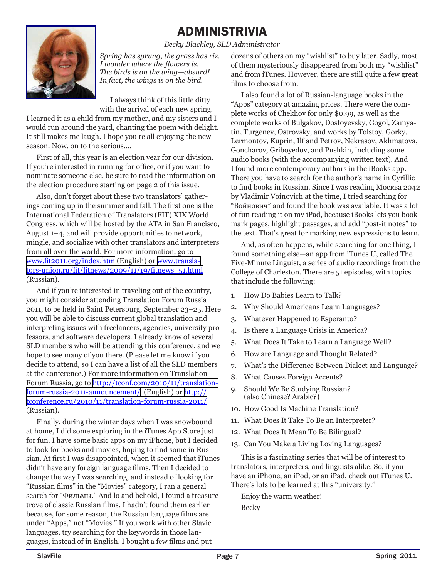### ADMINISTRIVIA *Becky Blackley, SLD Administrator*

*Spring has sprung, the grass has riz. I wonder where the flowers is. The birds is on the wing—absurd! In fact, the wings is on the bird.*

I always think of this little ditty with the arrival of each new spring.

I learned it as a child from my mother, and my sisters and I would run around the yard, chanting the poem with delight. It still makes me laugh. I hope you're all enjoying the new season. Now, on to the serious....

First of all, this year is an election year for our division. If you're interested in running for office, or if you want to nominate someone else, be sure to read the information on the election procedure starting on page 2 of this issue.

Also, don't forget about these two translators' gatherings coming up in the summer and fall. The first one is the International Federation of Translators (FIT) XIX World Congress, which will be hosted by the ATA in San Francisco, August 1–4, and will provide opportunities to network, mingle, and socialize with other translators and interpreters from all over the world. For more information, go to [www.fit2011.org/index.htm](http://www.fit2011.org/index.htm) (English) or [www.transla](http://www.translators-union.ru/fit/fitnews/2009/11/19/fitnews_51.html)[tors-union.ru/fit/fitnews/2009/11/19/fitnews\\_51.html](http://www.translators-union.ru/fit/fitnews/2009/11/19/fitnews_51.html) (Russian).

And if you're interested in traveling out of the country, you might consider attending Translation Forum Russia 2011, to be held in Saint Petersburg, September 23–25. Here you will be able to discuss current global translation and interpreting issues with freelancers, agencies, university professors, and software developers. I already know of several SLD members who will be attending this conference, and we hope to see many of you there. (Please let me know if you decide to attend, so I can have a list of all the SLD members at the conference.) For more information on Translation Forum Russia, go to [http://tconf.com/2010/11/translation](http://tconf.com/2010/11/translation-forum-russia-2011-announcement/)[forum-russia-2011-announcement/](http://tconf.com/2010/11/translation-forum-russia-2011-announcement/) (English) or [http://](http://tconference.ru/2010/11/translation-forum-russia-2011/) [tconference.ru/2010/11/translation-forum-russia-2011/](http://tconference.ru/2010/11/translation-forum-russia-2011/) (Russian).

Finally, during the winter days when I was snowbound at home, I did some exploring in the iTunes App Store just for fun. I have some basic apps on my iPhone, but I decided to look for books and movies, hoping to find some in Russian. At first I was disappointed, when it seemed that iTunes didn't have any foreign language films. Then I decided to change the way I was searching, and instead of looking for "Russian films" in the "Movies" category, I ran a general search for "Фильмы." And lo and behold, I found a treasure trove of classic Russian films. I hadn't found them earlier because, for some reason, the Russian language films are under "Apps," not "Movies." If you work with other Slavic languages, try searching for the keywords in those languages, instead of in English. I bought a few films and put

dozens of others on my "wishlist" to buy later. Sadly, most of them mysteriously disappeared from both my "wishlist" and from iTunes. However, there are still quite a few great films to choose from.

I also found a lot of Russian-language books in the "Apps" category at amazing prices. There were the complete works of Chekhov for only \$0.99, as well as the complete works of Bulgakov, Dostoyevsky, Gogol, Zamyatin, Turgenev, Ostrovsky, and works by Tolstoy, Gorky, Lermontov, Kuprin, Ilf and Petrov, Nekrasov, Akhmatova, Goncharov, Griboyedov, and Pushkin, including some audio books (with the accompanying written text). And I found more contemporary authors in the iBooks app. There you have to search for the author's name in Cyrillic to find books in Russian. Since I was reading Москва 2042 by Vladimir Voinovich at the time, I tried searching for "Войнович" and found the book was available. It was a lot of fun reading it on my iPad, because iBooks lets you bookmark pages, highlight passages, and add "post-it notes" to the text. That's great for marking new expressions to learn.

And, as often happens, while searching for one thing, I found something else—an app from iTunes U, called The Five-Minute Linguist, a series of audio recordings from the College of Charleston. There are 51 episodes, with topics that include the following:

- 1. How Do Babies Learn to Talk?
- 2. Why Should Americans Learn Languages?
- 3. Whatever Happened to Esperanto?
- 4. Is there a Language Crisis in America?
- 5. What Does It Take to Learn a Language Well?
- 6. How are Language and Thought Related?
- 7. What's the Difference Between Dialect and Language?
- 8. What Causes Foreign Accents?
- 9. Should We Be Studying Russian? (also Chinese? Arabic?)
- 10. How Good Is Machine Translation?
- 11. What Does It Take To Be an Interpreter?
- 12. What Does It Mean To Be Bilingual?
- 13. Can You Make a Living Loving Languages?

This is a fascinating series that will be of interest to translators, interpreters, and linguists alike. So, if you have an iPhone, an iPod, or an iPad, check out iTunes U. There's lots to be learned at this "university."

Enjoy the warm weather! Becky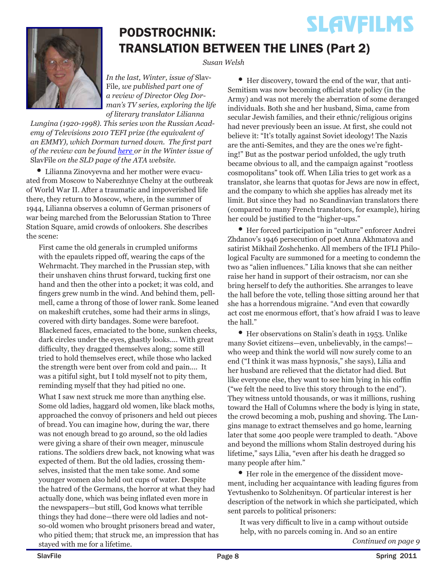### **SLAVFILMS** PODSTROCHNIK: TRANSLATION BETWEEN THE LINES (Part 2)

*Susan Welsh*

*In the last, Winter, issue of* Slav-File*, we published part one of a review of Director Oleg Dorman's TV series, exploring the life of literary translator Lilianna* 

*Lungina (1920-1998). This series won the Russian Academy of Televisions 2010 TEFI prize (the equivalent of an EMMY), which Dorman turned down. The first part of the review can be found here or in the Winter issue of*  SlavFile *on the SLD page of the ATA website.*

• Lilianna Zinovyevna and her mother were evacuated from Moscow to Naberezhnye Chelny at the outbreak of World War II. After a traumatic and impoverished life there, they return to Moscow, where, in the summer of 1944, Lilianna observes a column of German prisoners of war being marched from the Belorussian Station to Three Station Square, amid crowds of onlookers. She describes the scene:

First came the old generals in crumpled uniforms with the epaulets ripped off, wearing the caps of the Wehrmacht. They marched in the Prussian step, with their unshaven chins thrust forward, tucking first one hand and then the other into a pocket; it was cold, and fingers grew numb in the wind. And behind them, pellmell, came a throng of those of lower rank. Some leaned on makeshift crutches, some had their arms in slings, covered with dirty bandages. Some were barefoot. Blackened faces, emaciated to the bone, sunken cheeks, dark circles under the eyes, ghastly looks.... With great difficulty, they dragged themselves along; some still tried to hold themselves erect, while those who lacked the strength were bent over from cold and pain.... It was a pitiful sight, but I told myself not to pity them, reminding myself that they had pitied no one.

What I saw next struck me more than anything else. Some old ladies, haggard old women, like black moths, approached the convoy of prisoners and held out pieces of bread. You can imagine how, during the war, there was not enough bread to go around, so the old ladies were giving a share of their own meager, minuscule rations. The soldiers drew back, not knowing what was expected of them. But the old ladies, crossing themselves, insisted that the men take some. And some younger women also held out cups of water. Despite the hatred of the Germans, the horror at what they had actually done, which was being inflated even more in the newspapers—but still, God knows what terrible things they had done—there were old ladies and notso-old women who brought prisoners bread and water, who pitied them; that struck me, an impression that has stayed with me for a lifetime.

• Her discovery, toward the end of the war, that anti-Semitism was now becoming official state policy (in the Army) and was not merely the aberration of some deranged individuals. Both she and her husband, Sima, came from secular Jewish families, and their ethnic/religious origins had never previously been an issue. At first, she could not believe it: "It's totally against Soviet ideology! The Nazis are the anti-Semites, and they are the ones we're fighting!" But as the postwar period unfolded, the ugly truth became obvious to all, and the campaign against "rootless cosmopolitans" took off. When Lilia tries to get work as a translator, she learns that quotas for Jews are now in effect, and the company to which she applies has already met its limit. But since they had no Scandinavian translators there (compared to many French translators, for example), hiring her could be justified to the "higher-ups."

• Her forced participation in "culture" enforcer Andrei Zhdanov's 1946 persecution of poet Anna Akhmatova and satirist Mikhail Zoshchenko. All members of the IFLI Philological Faculty are summoned for a meeting to condemn the two as "alien influences." Lilia knows that she can neither raise her hand in support of their ostracism, nor can she bring herself to defy the authorities. She arranges to leave the hall before the vote, telling those sitting around her that she has a horrendous migraine. "And even that cowardly act cost me enormous effort, that's how afraid I was to leave the hall."

• Her observations on Stalin's death in 1953. Unlike many Soviet citizens—even, unbelievably, in the camps! who weep and think the world will now surely come to an end ("I think it was mass hypnosis," she says), Lilia and her husband are relieved that the dictator had died. But like everyone else, they want to see him lying in his coffin ("we felt the need to live this story through to the end"). They witness untold thousands, or was it millions, rushing toward the Hall of Columns where the body is lying in state, the crowd becoming a mob, pushing and shoving. The Lungins manage to extract themselves and go home, learning later that some 400 people were trampled to death. "Above and beyond the millions whom Stalin destroyed during his lifetime," says Lilia, "even after his death he dragged so many people after him."

• Her role in the emergence of the dissident movement, including her acquaintance with leading figures from Yevtushenko to Solzhenitsyn. Of particular interest is her description of the network in which she participated, which sent parcels to political prisoners:

*Continued on page 9* It was very difficult to live in a camp without outside help, with no parcels coming in. And so an entire

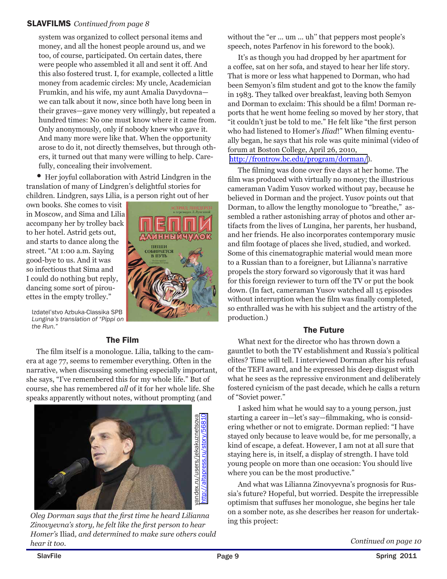### SLAVFILMS *Continued from page 8*

system was organized to collect personal items and money, and all the honest people around us, and we too, of course, participated. On certain dates, there were people who assembled it all and sent it off. And this also fostered trust. I, for example, collected a little money from academic circles: My uncle, Academician Frumkin, and his wife, my aunt Amalia Davydovna we can talk about it now, since both have long been in their graves—gave money very willingly, but repeated a hundred times: No one must know where it came from. Only anonymously, only if nobody knew who gave it. And many more were like that. When the opportunity arose to do it, not directly themselves, but through others, it turned out that many were willing to help. Carefully, concealing their involvement.

• Her joyful collaboration with Astrid Lindgren in the translation of many of Lindgren's delightful stories for children. Lindgren, says Lilia, is a person right out of her

own books. She comes to visit in Moscow, and Sima and Lilia accompany her by trolley back to her hotel. Astrid gets out, and starts to dance along the street. "At 1:00 a.m. Saying good-bye to us. And it was so infectious that Sima and I could do nothing but reply, dancing some sort of pirouettes in the empty trolley."



Izdatel'stvo Azbuka-Classika SPB *Lungina's translation of "Pippi on the Run."*

### The Film

The film itself is a monologue. Lilia, talking to the camera at age 77, seems to remember everything. Often in the narrative, when discussing something especially important, she says, "I've remembered this for my whole life." But of course, she has remembered *all* of it for her whole life. She speaks apparently without notes, without prompting (and



*Oleg Dorman says that the first time he heard Lilianna Zinovyevna's story, he felt like the first person to hear Homer's* Iliad*, and determined to make sure others could hear it too.*

without the "er ... um ... uh" that peppers most people's speech, notes Parfenov in his foreword to the book).

It's as though you had dropped by her apartment for a coffee, sat on her sofa, and stayed to hear her life story. That is more or less what happened to Dorman, who had been Semyon's film student and got to the know the family in 1983. They talked over breakfast, leaving both Semyon and Dorman to exclaim: This should be a film! Dorman reports that he went home feeling so moved by her story, that "it couldn't just be told to me." He felt like "the first person who had listened to Homer's *Iliad*!" When filming eventually began, he says that his role was quite minimal (video of forum at Boston College, April 26, 2010, <http://frontrow.bc.edu/program/dorman/>).

The filming was done over five days at her home. The film was produced with virtually no money; the illustrious cameraman Vadim Yusov worked without pay, because he believed in Dorman and the project. Yusov points out that Dorman, to allow the lengthy monologue to "breathe," assembled a rather astonishing array of photos and other artifacts from the lives of Lungina, her parents, her husband, and her friends. He also incorporates contemporary music and film footage of places she lived, studied, and worked. Some of this cinematographic material would mean more to a Russian than to a foreigner, but Lilianna's narrative propels the story forward so vigorously that it was hard for this foreign reviewer to turn off the TV or put the book down. (In fact, cameraman Yusov watched all 15 episodes without interruption when the film was finally completed, so enthralled was he with his subject and the artistry of the production.)

### The Future

What next for the director who has thrown down a gauntlet to both the TV establishment and Russia's political elites? Time will tell. I interviewed Dorman after his refusal of the TEFI award, and he expressed his deep disgust with what he sees as the repressive environment and deliberately fostered cynicism of the past decade, which he calls a return of "Soviet power."

I asked him what he would say to a young person, just starting a career in—let's say—filmmaking, who is considering whether or not to emigrate. Dorman replied: "I have stayed only because to leave would be, for me personally, a kind of escape, a defeat. However, I am not at all sure that staying here is, in itself, a display of strength. I have told young people on more than one occasion: You should live where you can be the most productive."

And what was Lilianna Zinovyevna's prognosis for Russia's future? Hopeful, but worried. Despite the irrepressible optimism that suffuses her monologue, she begins her tale on a somber note, as she describes her reason for undertaking this project: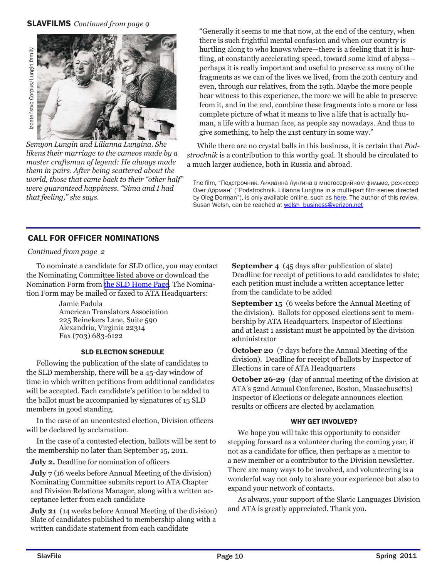

*Semyon Lungin and Lilianna Lungina. She likens their marriage to the cameos made by a master craftsman of legend: He always made them in pairs. After being scattered about the world, those that came back to their "other half" were guaranteed happiness. "Sima and I had that feeling," she says.*

"Generally it seems to me that now, at the end of the century, when there is such frightful mental confusion and when our country is hurtling along to who knows where—there is a feeling that it is hurtling, at constantly accelerating speed, toward some kind of abyss perhaps it is really important and useful to preserve as many of the fragments as we can of the lives we lived, from the 20th century and even, through our relatives, from the 19th. Maybe the more people bear witness to this experience, the more we will be able to preserve from it, and in the end, combine these fragments into a more or less complete picture of what it means to live a life that is actually human, a life with a human face, as people say nowadays. And thus to give something, to help the 21st century in some way."

While there are no crystal balls in this business, it is certain that *Podstrochnik* is a contribution to this worthy goal. It should be circulated to a much larger audience, both in Russia and abroad.

The film, "Подстрочник. Лилианна Лунгина в многосерийном фильме, режиссер Олег Дорман" ("Podstrochnik. Lilianna Lungina in a multi-part film series directed by Oleg Dorman"), is only available online, such as here. The author of this review, Susan Welsh, can be reached at welsh\_business@verizon.net

### CALL FOR OFFICER NOMINATIONS

### *Continued from page 2*

To nominate a candidate for SLD office, you may contact the Nominating Committee listed above or download the Nomination Form from [the SLD Home Page](http://www.ata-divisions.org/SLD/index.htm). The Nomination Form may be mailed or faxed to ATA Headquarters:

> Jamie Padula American Translators Association 225 Reinekers Lane, Suite 590 Alexandria, Virginia 22314 Fax (703) 683-6122

### SLD ELECTION SCHEDULE

Following the publication of the slate of candidates to the SLD membership, there will be a 45-day window of time in which written petitions from additional candidates will be accepted. Each candidate's petition to be added to the ballot must be accompanied by signatures of 15 SLD members in good standing.

In the case of an uncontested election, Division officers will be declared by acclamation.

In the case of a contested election, ballots will be sent to the membership no later than September 15, 2011.

**July 2.** Deadline for nomination of officers

**July 7** (16 weeks before Annual Meeting of the division) Nominating Committee submits report to ATA Chapter and Division Relations Manager, along with a written acceptance letter from each candidate

**July 21** (14 weeks before Annual Meeting of the division) Slate of candidates published to membership along with a written candidate statement from each candidate

**September 4** (45 days after publication of slate) Deadline for receipt of petitions to add candidates to slate; each petition must include a written acceptance letter from the candidate to be added

**September 15** (6 weeks before the Annual Meeting of the division). Ballots for opposed elections sent to membership by ATA Headquarters. Inspector of Elections and at least 1 assistant must be appointed by the division administrator

**October 20** (7 days before the Annual Meeting of the division). Deadline for receipt of ballots by Inspector of Elections in care of ATA Headquarters

**October 26-29** (day of annual meeting of the division at ATA's 52nd Annual Conference, Boston, Massachusetts) Inspector of Elections or delegate announces election results or officers are elected by acclamation

### WHY GET INVOLVED?

We hope you will take this opportunity to consider stepping forward as a volunteer during the coming year, if not as a candidate for office, then perhaps as a mentor to a new member or a contributor to the Division newsletter. There are many ways to be involved, and volunteering is a wonderful way not only to share your experience but also to expand your network of contacts.

As always, your support of the Slavic Languages Division and ATA is greatly appreciated. Thank you.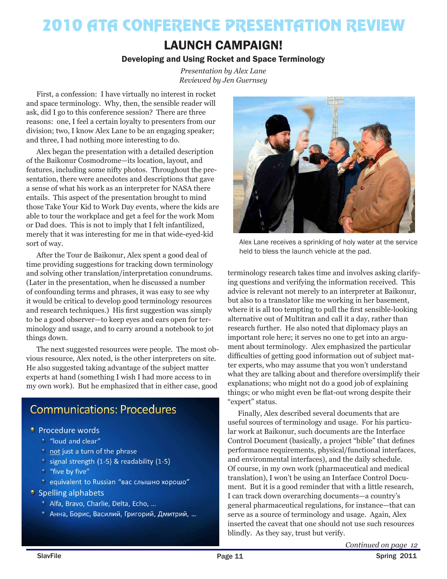## 2010 ATA CONFERENCE PRESENTATION REVIEW

### LAUNCH CAMPAIGN!

### Developing and Using Rocket and Space Terminology

*Presentation by Alex Lane Reviewed by Jen Guernsey*

First, a confession: I have virtually no interest in rocket and space terminology. Why, then, the sensible reader will ask, did I go to this conference session? There are three reasons: one, I feel a certain loyalty to presenters from our division; two, I know Alex Lane to be an engaging speaker; and three, I had nothing more interesting to do.

Alex began the presentation with a detailed description of the Baikonur Cosmodrome—its location, layout, and features, including some nifty photos. Throughout the presentation, there were anecdotes and descriptions that gave a sense of what his work as an interpreter for NASA there entails. This aspect of the presentation brought to mind those Take Your Kid to Work Day events, where the kids are able to tour the workplace and get a feel for the work Mom or Dad does. This is not to imply that I felt infantilized, merely that it was interesting for me in that wide-eyed-kid sort of way.

After the Tour de Baikonur, Alex spent a good deal of time providing suggestions for tracking down terminology and solving other translation/interpretation conundrums. (Later in the presentation, when he discussed a number of confounding terms and phrases, it was easy to see why it would be critical to develop good terminology resources and research techniques.) His first suggestion was simply to be a good observer—to keep eyes and ears open for terminology and usage, and to carry around a notebook to jot things down.

The next suggested resources were people. The most obvious resource, Alex noted, is the other interpreters on site. He also suggested taking advantage of the subject matter experts at hand (something I wish I had more access to in my own work). But he emphasized that in either case, good

### **Communications: Procedures**

#### • Procedure words

- \* "loud and clear"
- \* not just a turn of the phrase
- \* signal strength (1-5) & readability (1-5)
- \* "five by five"
- \* equivalent to Russian "вас слышно хорошо"
- Spelling alphabets
	- \* Alfa, Bravo, Charlie, Delta, Echo, ...
	- Анна, Борис, Василий, Григорий, Дмитрий, ...



Alex Lane receives a sprinkling of holy water at the service held to bless the launch vehicle at the pad.

terminology research takes time and involves asking clarifying questions and verifying the information received. This advice is relevant not merely to an interpreter at Baikonur, but also to a translator like me working in her basement, where it is all too tempting to pull the first sensible-looking alternative out of Multitran and call it a day, rather than research further. He also noted that diplomacy plays an important role here; it serves no one to get into an argument about terminology. Alex emphasized the particular difficulties of getting good information out of subject matter experts, who may assume that you won't understand what they are talking about and therefore oversimplify their explanations; who might not do a good job of explaining things; or who might even be flat-out wrong despite their "expert" status.

Finally, Alex described several documents that are useful sources of terminology and usage. For his particular work at Baikonur, such documents are the Interface Control Document (basically, a project "bible" that defines performance requirements, physical/functional interfaces, and environmental interfaces), and the daily schedule. Of course, in my own work (pharmaceutical and medical translation), I won't be using an Interface Control Document. But it is a good reminder that with a little research, I can track down overarching documents—a country's general pharmaceutical regulations, for instance—that can serve as a source of terminology and usage. Again, Alex inserted the caveat that one should not use such resources blindly. As they say, trust but verify.

*Continued on page 12*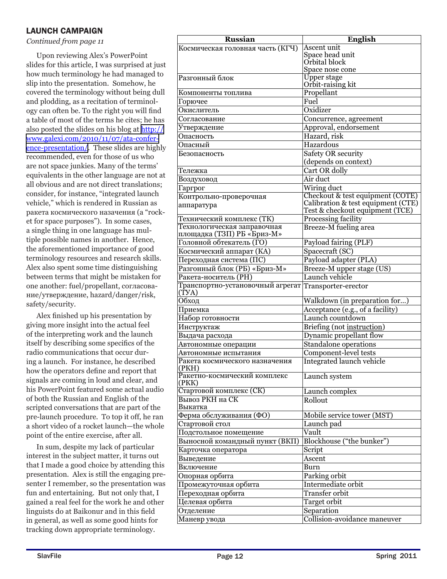### LAUNCH CAMPAIGN

#### *Continued from page 11*

Upon reviewing Alex's PowerPoint slides for this article, I was surprised at just how much terminology he had managed to slip into the presentation. Somehow, he covered the terminology without being dull and plodding, as a recitation of terminology can often be. To the right you will find a table of most of the terms he cites; he has also posted the slides on his blog at [http://](http://www.galexi.com/2010/11/07/ata-conference-presentation/) [www.galexi.com/2010/11/07/ata-confer](http://www.galexi.com/2010/11/07/ata-conference-presentation/)[ence-presentation/](http://www.galexi.com/2010/11/07/ata-conference-presentation/). These slides are highly recommended, even for those of us who are not space junkies. Many of the terms' equivalents in the other language are not at all obvious and are not direct translations; consider, for instance, "integrated launch vehicle," which is rendered in Russian as ракета космического назачения (a "rocket for space purposes"). In some cases, a single thing in one language has multiple possible names in another. Hence, the aforementioned importance of good terminology resources and research skills. Alex also spent some time distinguishing between terms that might be mistaken for one another: fuel/propellant, согласование/утверждение, hazard/danger/risk, safety/security.

Alex finished up his presentation by giving more insight into the actual feel of the interpreting work and the launch itself by describing some specifics of the radio communications that occur during a launch. For instance, he described how the operators define and report that signals are coming in loud and clear, and his PowerPoint featured some actual audio of both the Russian and English of the scripted conversations that are part of the pre-launch procedure. To top it off, he ran a short video of a rocket launch—the whole point of the entire exercise, after all.

In sum, despite my lack of particular interest in the subject matter, it turns out that I made a good choice by attending this presentation. Alex is still the engaging presenter I remember, so the presentation was fun and entertaining. But not only that, I gained a real feel for the work he and other linguists do at Baikonur and in this field in general, as well as some good hints for tracking down appropriate terminology.

| <b>Russian</b>                                            | <b>English</b>                          |
|-----------------------------------------------------------|-----------------------------------------|
| Космическая головная часть (КГЧ)                          | Ascent unit                             |
|                                                           | Space head unit                         |
|                                                           | Orbital block                           |
|                                                           | Space nose cone                         |
| Разгонный блок                                            | <b>Upper stage</b><br>Orbit-raising kit |
| Компоненты топлива                                        | Propellant                              |
| $\overline{\Gamma}$ орючее                                | Fuel                                    |
| Окислитель                                                | Oxidizer                                |
| Согласование                                              | Concurrence, agreement                  |
| Утверждение                                               | Approval, endorsement                   |
| Опасность                                                 | Hazard, risk                            |
| Опасный                                                   | Hazardous                               |
| Безопасность                                              | Safety OR security                      |
|                                                           | (depends on context)                    |
| Тележка                                                   | Cart OR dolly                           |
| Воздуховод                                                | Air duct                                |
| Гаргрог                                                   | Wiring duct                             |
| Контрольно-проверочная                                    | Checkout & test equipment (COTE)        |
| аппаратура                                                | Calibration & test equipment (CTE)      |
|                                                           | Test & checkout equipment (TCE)         |
| Технический комплекс (ТК)                                 | Processing facility                     |
| Технологическая заправочная<br>площадка (ТЗП) РБ «Бриз-М» | Breeze-M fueling area                   |
| Головной обтекатель (ГО)                                  | Payload fairing (PLF)                   |
| Космический аппарат (КА)                                  | Spacecraft (SC)                         |
| Переходная система (ПС)                                   | Payload adapter (PLA)                   |
| Разгонный блок (РБ) «Бриз-М»                              | Breeze-M upper stage (US)               |
| Ракета-носитель (РН)                                      | Launch vehicle                          |
| Транспортно-установочный агрегат Transporter-erector      |                                         |
| (TYA)                                                     |                                         |
| Обход                                                     | Walkdown (in preparation for)           |
| Приемка                                                   | Acceptance (e.g., of a facility)        |
| Набор готовности                                          | Launch countdown                        |
| Инструктаж                                                | Briefing (not instruction)              |
| Выдача расхода                                            | Dynamic propellant flow                 |
| Автономные операции                                       | Standalone operations                   |
| Автономные испытания                                      | Component-level tests                   |
| Ракета космического назначения                            | <b>Integrated launch vehicle</b>        |
| (PKH)                                                     |                                         |
| Ракетно-космический комплекс<br>(PKK)                     | Launch system                           |
| Стартовой комплекс (СК)                                   | Launch complex                          |
| Вывоз РКН на СК                                           | Rollout                                 |
| Выкатка                                                   |                                         |
| Ферма обслуживания (ФО)                                   | Mobile service tower (MST)              |
| Стартовой стол                                            | Launch pad                              |
| Подстольное помещение                                     | Vault                                   |
| Выносной командный пункт (ВКП)                            | Blockhouse ("the bunker")               |
| Карточка оператора                                        | Script                                  |
| Выведение                                                 | Ascent                                  |
| Включение                                                 | <b>Burn</b>                             |
| Опорная орбита                                            | Parking orbit                           |
| Промежуточная орбита                                      | Intermediate orbit                      |
| Переходная орбита                                         | Transfer orbit                          |
| Целевая орбита                                            | Target orbit                            |
| Отделение                                                 | Separation                              |
| Маневр увода                                              | Collision-avoidance maneuver            |
|                                                           |                                         |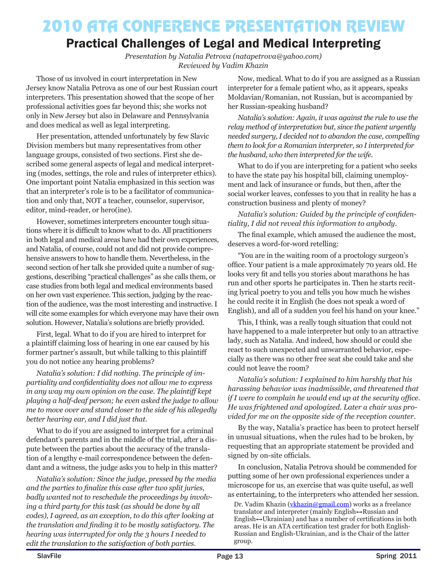### 2010 ATA CONFERENCE PRESENTATION REVIEW

### Practical Challenges of Legal and Medical Interpreting

*Presentation by Natalia Petrova (natapetrova@yahoo.com) Reviewed by Vadim Khazin* 

Those of us involved in court interpretation in New Jersey know Natalia Petrova as one of our best Russian court interpreters. This presentation showed that the scope of her professional activities goes far beyond this; she works not only in New Jersey but also in Delaware and Pennsylvania and does medical as well as legal interpreting.

Her presentation, attended unfortunately by few Slavic Division members but many representatives from other language groups, consisted of two sections. First she described some general aspects of legal and medical interpreting (modes, settings, the role and rules of interpreter ethics). One important point Natalia emphasized in this section was that an interpreter's role is to be a facilitator of communication and only that, NOT a teacher, counselor, supervisor, editor, mind-reader, or hero(ine).

However, sometimes interpreters encounter tough situations where it is difficult to know what to do. All practitioners in both legal and medical areas have had their own experiences, and Natalia, of course, could not and did not provide comprehensive answers to how to handle them. Nevertheless, in the second section of her talk she provided quite a number of suggestions, describing "practical challenges" as she calls them, or case studies from both legal and medical environments based on her own vast experience. This section, judging by the reaction of the audience, was the most interesting and instructive. I will cite some examples for which everyone may have their own solution. However, Natalia's solutions are briefly provided.

First, legal. What to do if you are hired to interpret for a plaintiff claiming loss of hearing in one ear caused by his former partner's assault, but while talking to this plaintiff you do not notice any hearing problems?

*Natalia's solution: I did nothing. The principle of impartiality and confidentiality does not allow me to express in any way my own opinion on the case. The plaintiff kept playing a half-deaf person; he even asked the judge to allow me to move over and stand closer to the side of his allegedly better hearing ear, and I did just that.*

What to do if you are assigned to interpret for a criminal defendant's parents and in the middle of the trial, after a dispute between the parties about the accuracy of the translation of a lengthy e-mail correspondence between the defendant and a witness, the judge asks you to help in this matter?

*Natalia's solution: Since the judge, pressed by the media and the parties to finalize this case after two split juries, badly wanted not to reschedule the proceedings by involving a third party for this task (as should be done by all codes), I agreed, as an exception, to do this after looking at the translation and finding it to be mostly satisfactory. The hearing was interrupted for only the 3 hours I needed to edit the translation to the satisfaction of both parties.*

Now, medical. What to do if you are assigned as a Russian interpreter for a female patient who, as it appears, speaks Moldavian/Romanian, not Russian, but is accompanied by her Russian-speaking husband?

*Natalia's solution: Again, it was against the rule to use the relay method of interpretation but, since the patient urgently needed surgery, I decided not to abandon the case, compelling them to look for a Romanian interpreter, so I interpreted for the husband, who then interpreted for the wife.*

What to do if you are interpreting for a patient who seeks to have the state pay his hospital bill, claiming unemployment and lack of insurance or funds, but then, after the social worker leaves, confesses to you that in reality he has a construction business and plenty of money?

*Natalia's solution: Guided by the principle of confidentiality, I did not reveal this information to anybody.*

The final example, which amused the audience the most, deserves a word-for-word retelling:

"You are in the waiting room of a proctology surgeon's office. Your patient is a male approximately 70 years old. He looks very fit and tells you stories about marathons he has run and other sports he participates in. Then he starts reciting lyrical poetry to you and tells you how much he wishes he could recite it in English (he does not speak a word of English), and all of a sudden you feel his hand on your knee."

This, I think, was a really tough situation that could not have happened to a male interpreter but only to an attractive lady, such as Natalia. And indeed, how should or could she react to such unexpected and unwarranted behavior, especially as there was no other free seat she could take and she could not leave the room?

*Natalia's solution: I explained to him harshly that his harassing behavior was inadmissible, and threatened that if I were to complain he would end up at the security office. He was frightened and apologized. Later a chair was provided for me on the opposite side of the reception counter.*

By the way, Natalia's practice has been to protect herself in unusual situations, when the rules had to be broken, by requesting that an appropriate statement be provided and signed by on-site officials.

In conclusion, Natalia Petrova should be commended for putting some of her own professional experiences under a microscope for us, an exercise that was quite useful, as well as entertaining, to the interpreters who attended her session.

Dr. Vadim Khazin (vkhazin@gmail.com) works as a freelance translator and interpreter (mainly English↔Russian and English↔Ukrainian) and has a number of certifications in both areas. He is an ATA certification test grader for both English-Russian and English-Ukrainian, and is the Chair of the latter group.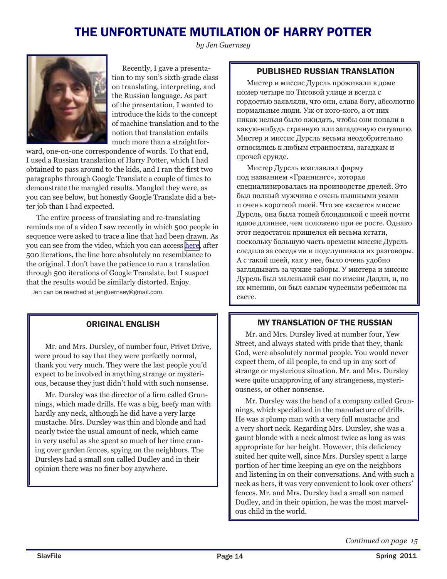### THE UNFORTUNATE MUTILATION OF HARRY POTTER

*by Jen Guernsey*



Recently, I gave a presentation to my son's sixth-grade class on translating, interpreting, and the Russian language. As part of the presentation, I wanted to introduce the kids to the concept of machine translation and to the notion that translation entails much more than a straightfor-

ward, one-on-one correspondence of words. To that end, I used a Russian translation of Harry Potter, which I had obtained to pass around to the kids, and I ran the first two paragraphs through Google Translate a couple of times to demonstrate the mangled results. Mangled they were, as you can see below, but honestly Google Translate did a better job than I had expected.

The entire process of translating and re-translating reminds me of a video I saw recently in which 500 people in sequence were asked to trace a line that had been drawn. As you can see from the video, which you can access [here](http://www.dump.com/2011/02/17/a-sequence-of-lines-traced-by-five-hundred-individuals-in-an-online-drawing-program-each-new-user-only-sees-the-latest-line-drawn-and-can-therefore-only-trace-this-latest-imperfect-copy-video/), after 500 iterations, the line bore absolutely no resemblance to the original. I don't have the patience to run a translation through 500 iterations of Google Translate, but I suspect that the results would be similarly distorted. Enjoy.

Jen can be reached at jenguernsey@gmail.com.

### ORIGINAL ENGLISH

Mr. and Mrs. Dursley, of number four, Privet Drive, were proud to say that they were perfectly normal, thank you very much. They were the last people you'd expect to be involved in anything strange or mysterious, because they just didn't hold with such nonsense.

Mr. Dursley was the director of a firm called Grunnings, which made drills. He was a big, beefy man with hardly any neck, although he did have a very large mustache. Mrs. Dursley was thin and blonde and had nearly twice the usual amount of neck, which came in very useful as she spent so much of her time craning over garden fences, spying on the neighbors. The Dursleys had a small son called Dudley and in their opinion there was no finer boy anywhere.

### PUBLISHED RUSSIAN TRANSLATION

Мистер и миссис Дурсль проживали в доме номер четыре по Тисовой улице и всегда с гордостью заявляли, что они, слава богу, абсолютно нормальные люди. Уж от кого-кого, а от них никак нельзя было ожидать, чтобы они попали в какую-нибудь странную или загадочную ситуацию. Мистер и миссис Дурсль весьма неодобрительно относились к любым странностям, загадкам и прочей ерунде.

Мистер Дурсль возглавлял фирму под названием «Граннингс», которая специализировалась на производстве дрелей. Это был полный мужчина с очень пышными усами и очень короткой шеей. Что же касается миссис Дурсль, она была тощей блондинкой с шеей почти вдвое длиннее, чем положено при ее росте. Однако этот недостаток пришелся ей весьма кстати, поскольку большую часть времени миссис Дурсль следила за соседями и подслушивала их разговоры. А с такой шеей, как у нее, было очень удобно заглядывать за чужие заборы. У мистера и миссис Дурсль был маленький сын по имени Дадли, и, по их мнению, он был самым чудесным ребенком на свете.

### MY TRANSLATION OF THE RUSSIAN

Mr. and Mrs. Dursley lived at number four, Yew Street, and always stated with pride that they, thank God, were absolutely normal people. You would never expect them, of all people, to end up in any sort of strange or mysterious situation. Mr. and Mrs. Dursley were quite unapproving of any strangeness, mysteriousness, or other nonsense.

Mr. Dursley was the head of a company called Grunnings, which specialized in the manufacture of drills. He was a plump man with a very full mustache and a very short neck. Regarding Mrs. Dursley, she was a gaunt blonde with a neck almost twice as long as was appropriate for her height. However, this deficiency suited her quite well, since Mrs. Dursley spent a large portion of her time keeping an eye on the neighbors and listening in on their conversations. And with such a neck as hers, it was very convenient to look over others' fences. Mr. and Mrs. Dursley had a small son named Dudley, and in their opinion, he was the most marvelous child in the world.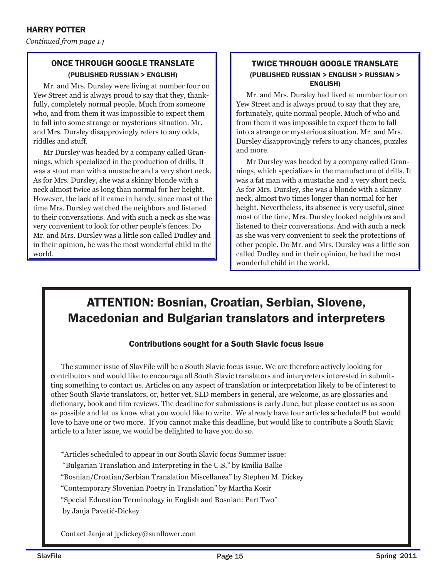*Continued from page 14*

### ONCE THROUGH GOOGLE TRANSLATE (PUBLISHED RUSSIAN > ENGLISH)

Mr. and Mrs. Dursley were living at number four on Yew Street and is always proud to say that they, thankfully, completely normal people. Much from someone who, and from them it was impossible to expect them to fall into some strange or mysterious situation. Mr. and Mrs. Dursley disapprovingly refers to any odds, riddles and stuff.

Mr Dursley was headed by a company called Grannings, which specialized in the production of drills. It was a stout man with a mustache and a very short neck. As for Mrs. Dursley, she was a skinny blonde with a neck almost twice as long than normal for her height. However, the lack of it came in handy, since most of the time Mrs. Dursley watched the neighbors and listened to their conversations. And with such a neck as she was very convenient to look for other people's fences. Do Mr. and Mrs. Dursley was a little son called Dudley and in their opinion, he was the most wonderful child in the world.

### TWICE THROUGH GOOGLE TRANSLATE (PUBLISHED RUSSIAN > ENGLISH > RUSSIAN > ENGLISH)

Mr. and Mrs. Dursley had lived at number four on Yew Street and is always proud to say that they are, fortunately, quite normal people. Much of who and from them it was impossible to expect them to fall into a strange or mysterious situation. Mr. and Mrs. Dursley disapprovingly refers to any chances, puzzles and more.

Mr Dursley was headed by a company called Grannings, which specializes in the manufacture of drills. It was a fat man with a mustache and a very short neck. As for Mrs. Dursley, she was a blonde with a skinny neck, almost two times longer than normal for her height. Nevertheless, its absence is very useful, since most of the time, Mrs. Dursley looked neighbors and listened to their conversations. And with such a neck as she was very convenient to seek the protections of other people. Do Mr. and Mrs. Dursley was a little son called Dudley and in their opinion, he had the most wonderful child in the world.

### ATTENTION: Bosnian, Croatian, Serbian, Slovene, Macedonian and Bulgarian translators and interpreters

### Contributions sought for a South Slavic focus issue

The summer issue of SlavFile will be a South Slavic focus issue. We are therefore actively looking for contributors and would like to encourage all South Slavic translators and interpreters interested in submitting something to contact us. Articles on any aspect of translation or interpretation likely to be of interest to other South Slavic translators, or, better yet, SLD members in general, are welcome, as are glossaries and dictionary, book and film reviews. The deadline for submissions is early June, but please contact us as soon as possible and let us know what you would like to write. We already have four articles scheduled\* but would love to have one or two more. If you cannot make this deadline, but would like to contribute a South Slavic article to a later issue, we would be delighted to have you do so.

\*Articles scheduled to appear in our South Slavic focus Summer issue:

"Bulgarian Translation and Interpreting in the U.S." by Emilia Balke

"Bosnian/Croatian/Serbian Translation Miscellanea" by Stephen M. Dickey

"Contemporary Slovenian Poetry in Translation" by Martha Kosir

"Special Education Terminology in English and Bosnian: Part Two" by Janja Pavetić-Dickey

Contact Janja at jpdickey@sunflower.com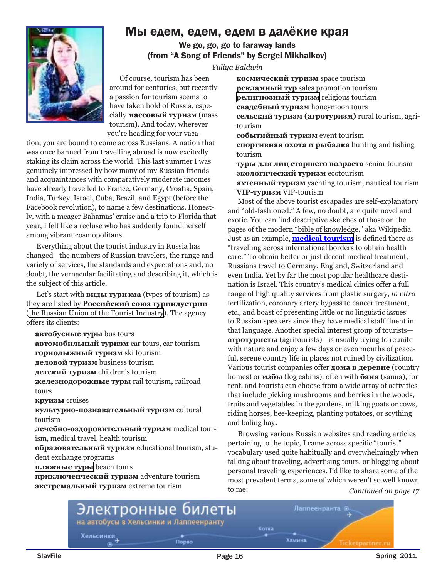### Мы едем, едем, едем в далёкие края



We go, go, go to faraway lands (from "A Song of Friends" by Sergei Mikhalkov)

*Yuliya Baldwin*

Of course, tourism has been around for centuries, but recently a passion for tourism seems to have taken hold of Russia, especially **массовый туризм** (mass tourism). And today, wherever you're heading for your vaca-

tion, you are bound to come across Russians. A nation that was once banned from travelling abroad is now excitedly staking its claim across the world. This last summer I was genuinely impressed by how many of my Russian friends and acquaintances with comparatively moderate incomes have already travelled to France, Germany, Croatia, Spain, India, Turkey, Israel, Cuba, Brazil, and Egypt (before the Facebook revolution), to name a few destinations. Honestly, with a meager Bahamas' cruise and a trip to Florida that year, I felt like a recluse who has suddenly found herself among vibrant cosmopolitans.

Everything about the tourist industry in Russia has changed—the numbers of Russian travelers, the range and variety of services, the standards and expectations and, no doubt, the vernacular facilitating and describing it, which is the subject of this article.

Let's start with **виды туризма** (types of tourism) as they are listed by **Российский союз туриндустрии**  ([the Russian Union of the Tourist Industry](http://www.rustourunion.ru/pages/rus/vstuplenie_v_rst)). The agency offers its clients:

**автобусные туры** bus tours

**автомобильный туризм** car tours, car tourism **горнолыжный туризм** ski tourism **деловой туризм** business tourism **детский туризм** children's tourism **железнодорожные туры** rail tourism**,** railroad tours **круизы** cruises **культурно-познавательный туризм** cultural tourism **лечебно-оздоровительный туризм** medical tourism, medical travel, health tourism

**образовательный туризм** educational tourism, student exchange programs

**[пляжные туры](http://www.rustourunion.ru/pages/rus/vstuplenie_v_rst/plyagnyyi/)** beach tours

**приключенческий туризм** adventure tourism **экстремальный туризм** extreme tourism

**космический туризм** space tourism **рекламный тур** sales promotion tourism **[религиозный туризм](http://www.rustourunion.ru/pages/rus/vstuplenie_v_rst/religioznyyi/)** religious tourism **свадебный туризм** honeymoon tours **сельский туризм (агротуризм)** rural tourism, agritourism

**событийный туризм** event tourism

**спортивная охота и рыбалка** hunting and fishing tourism

**туры для лиц старшего возраста** senior tourism **экологический туризм** ecotourism **яхтенный туризм** yachting tourism, nautical tourism **VIP-туризм** VIP-tourism

Most of the above tourist escapades are self-explanatory and "old-fashioned." A few, no doubt, are quite novel and exotic. You can find descriptive sketches of those on the pages of the modern "bible of knowledge," aka Wikipedia. Just as an example, **[medical tourism](http://en.wikipedia.org/wiki/Medical_tourism)** is defined there as "travelling across international borders to obtain health care." To obtain better or just decent medical treatment, Russians travel to Germany, England, Switzerland and even India. Yet by far the most popular healthcare destination is Israel. This country's medical clinics offer a full range of high quality services from plastic surgery, *in vitro* fertilization, coronary artery bypass to cancer treatment, etc., and boast of presenting little or no linguistic issues to Russian speakers since they have medical staff fluent in that language. Another special interest group of tourists **агротуристы** (agritourists)—is usually trying to reunite with nature and enjoy a few days or even months of peaceful, serene country life in places not ruined by civilization. Various tourist companies offer **дома в деревне** (country homes) or **избы** (log cabins), often with **баня** (sauna), for rent, and tourists can choose from a wide array of activities that include picking mushrooms and berries in the woods, fruits and vegetables in the gardens, milking goats or cows, riding horses, bee-keeping, planting potatoes, or scything and baling hay**.**

*Continued on page 17* Browsing various Russian websites and reading articles pertaining to the topic, I came across specific "tourist" vocabulary used quite habitually and overwhelmingly when talking about traveling, advertising tours, or blogging about personal traveling experiences. I'd like to share some of the most prevalent terms, some of which weren't so well known to me:

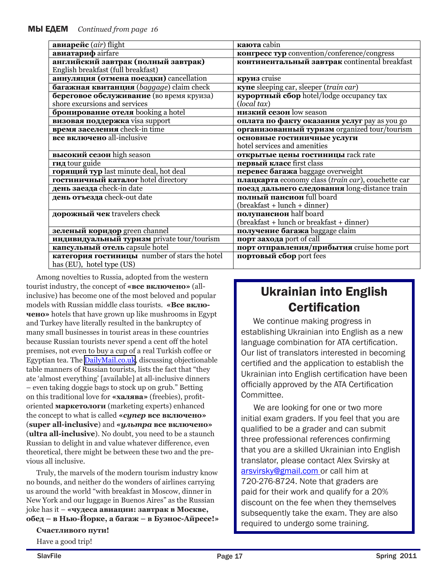| авиарейс (air) flight                         | каюта cabin                                        |
|-----------------------------------------------|----------------------------------------------------|
| авиатариф airfare                             | конгресс тур convention/conference/congress        |
| английский завтрак (полный завтрак)           | континентальный завтрак continental breakfast      |
| English breakfast (full breakfast)            |                                                    |
| аннуляция (отмена поездки) cancellation       | круиз cruise                                       |
| багажная квитанция (baggage) claim check      | купе sleeping car, sleeper (train car)             |
| береговое обслуживание (во время круиза)      | курортный сбор hotel/lodge occupancy tax           |
| shore excursions and services                 | (local tax)                                        |
| <b>бронирование отеля</b> booking a hotel     | низкий сезон low season                            |
| визовая поддержка visa support                | оплата по факту оказания услуг pay as you go       |
| время заселения check-in time                 | организованный туризм organized tour/tourism       |
| <b>все включено</b> all-inclusive             | основные гостиничные услуги                        |
|                                               | hotel services and amenities                       |
| высокий сезон high season                     | открытые цены гостиницы rack rate                  |
| гид tour guide                                | первый класс first class                           |
| горящий тур last minute deal, hot deal        | перевес багажа baggage overweight                  |
| гостиничный каталог hotel directory           | плацкарта economy class (train car), couchette car |
| день заезда check-in date                     | поезд дальнего следования long-distance train      |
| день отъезда check-out date                   | полный пансион full board                          |
|                                               | (breakfast + lunch + dinner)                       |
| дорожный чек travelers check                  | полупансион half board                             |
|                                               | (breakfast + lunch or breakfast + dinner)          |
| зеленый коридор green channel                 | получение багажа baggage claim                     |
| индивидуальный туризм private tour/tourism    | порт захода port of call                           |
| капсульный отель capsule hotel                | порт отправления/прибытия cruise home port         |
| категория гостиницы number of stars the hotel | портовый сбор port fees                            |
| has (EU), hotel type (US)                     |                                                    |

Among novelties to Russia, adopted from the western tourist industry, the concept of **«все включено»** (allinclusive) has become one of the most beloved and popular models with Russian middle class tourists. **«Все включено»** hotels that have grown up like mushrooms in Egypt and Turkey have literally resulted in the bankruptcy of many small businesses in tourist areas in these countries because Russian tourists never spend a cent off the hotel premises, not even to buy a cup of a real Turkish coffee or Egyptian tea. The [DailyMail.co.uk](http://www.dailymail.co.uk/news/article-1209411/Russians-snatch-worst-tourists-crown-Germans--hiding-sunloungers-ROOMS.html), discussing objectionable table manners of Russian tourists, lists the fact that "they ate 'almost everything' [available] at all-inclusive dinners – even taking doggie bags to stock up on grub." Betting on this traditional love for **«халява»** (freebies), profitoriented **маркетологи** (marketing experts) enhanced the concept to what is called **«***супер* **все включено»** (**super all-inclusive**) and **«***ультра* **все включено»** (**ultra all-inclusive**). No doubt, you need to be a staunch Russian to delight in and value whatever difference, even theoretical, there might be between these two and the previous all inclusive.

Truly, the marvels of the modern tourism industry know no bounds, and neither do the wonders of airlines carrying us around the world "with breakfast in Moscow, dinner in New York and our luggage in Buenos Aires" as the Russian joke has it – **«чудеса авиации: завтрак в Москве, обед – в Нью-Йорке, а багаж – в Буэнос-Айресе!»**

#### **Счастливого пути!**

Have a good trip!

### Ukrainian into English **Certification**

We continue making progress in establishing Ukrainian into English as a new language combination for ATA certification. Our list of translators interested in becoming certified and the application to establish the Ukrainian into English certification have been officially approved by the ATA Certification Committee.

 We are looking for one or two more initial exam graders. If you feel that you are qualified to be a grader and can submit three professional references confirming that you are a skilled Ukrainian into English translator, please contact Alex Svirsky at arsvirsky@gmail.com or call him at 720-276-8724. Note that graders are paid for their work and qualify for a 20% discount on the fee when they themselves subsequently take the exam. They are also required to undergo some training.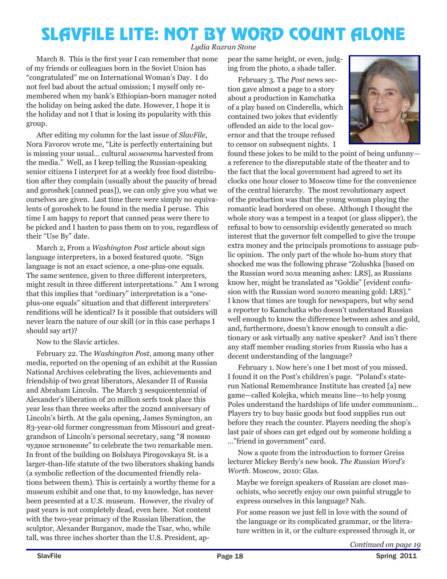## SLAVFILE LITE: NOT BY WORD COUNT ALONE

*Lydia Razran Stone*

March 8. This is the first year I can remember that none of my friends or colleagues born in the Soviet Union has "congratulated" me on International Woman's Day. I do not feel bad about the actual omission; I myself only remembered when my bank's Ethiopian-born manager noted the holiday on being asked the date. However, I hope it is the holiday and not I that is losing its popularity with this group.

After editing my column for the last issue of *SlavFile*, Nora Favorov wrote me, "Lite is perfectly entertaining but is missing your usual… cultural *моменты* harvested from the media." Well, as I keep telling the Russian-speaking senior citizens I interpret for at a weekly free food distribution after they complain (usually about the paucity of bread and goroshek [canned peas]), we can only give you what we ourselves are given. Last time there were simply no equivalents of goroshek to be found in the media I peruse. This time I am happy to report that canned peas were there to be picked and I hasten to pass them on to you, regardless of their "Use By" date.

March 2, From a *Washington Post* article about sign language interpreters, in a boxed featured quote. "Sign language is not an exact science, a one-plus-one equals. The same sentence, given to three different interpreters, might result in three different interpretations." Am I wrong that this implies that "ordinary" interpretation is a "oneplus-one equals" situation and that different interpreters' renditions will be identical? Is it possible that outsiders will never learn the nature of our skill (or in this case perhaps I should say art)?

Now to the Slavic articles.

February 22. The *Washington Post*, among many other media, reported on the opening of an exhibit at the Russian National Archives celebrating the lives, achievements and friendship of two great liberators, Alexander II of Russia and Abraham Lincoln. The March 3 sesquicentennial of Alexander's liberation of 20 million serfs took place this year less than three weeks after the 202nd anniversary of Lincoln's birth. At the gala opening, James Symington, an 83-year-old former congressman from Missouri and greatgrandson of Lincoln's personal secretary, sang "Я помню чудное мгновение" to celebrate the two remarkable men. In front of the building on Bolshaya Pirоgovskaya St. is a larger-than-life statute of the two liberators shaking hands (a symbolic reflection of the documented friendly relations between them). This is certainly a worthy theme for a museum exhibit and one that, to my knowledge, has never been presented at a U.S. museum. However, the rivalry of past years is not completely dead, even here. Not content with the two-year primacy of the Russian liberation, the sculptor, Alexander Burganov, made the Tsar, who, while tall, was three inches shorter than the U.S. President, appear the same height, or even, judging from the photo, a shade taller.

February 3. The *Post* news section gave almost a page to a story about a production in Kamchatka of a play based on Cinderella, which contained two jokes that evidently offended an aide to the local governor and that the troupe refused to censor on subsequent nights. I



found these jokes to be mild to the point of being unfunny a reference to the disreputable state of the theater and to the fact that the local government had agreed to set its clocks one hour closer to Moscow time for the convenience of the central hierarchy. The most revolutionary aspect of the production was that the young woman playing the romantic lead bordered on obese. Although I thought the whole story was a tempest in a teapot (or glass slipper), the refusal to bow to censorship evidently generated so much interest that the governor felt compelled to give the troupe extra money and the principals promotions to assuage public opinion. The only part of the whole ho-hum story that shocked me was the following phrase "Zolushka [based on the Russian word зола meaning ashes: LRS], as Russians know her, might be translated as "Goldie" [evident confusion with the Russian word золото meaning gold: LRS]." I know that times are tough for newspapers, but why send a reporter to Kamchatka who doesn't understand Russian well enough to know the difference between ashes and gold, and, furthermore, doesn't know enough to consult a dictionary or ask virtually any native speaker? And isn't there any staff member reading stories from Russia who has a decent understanding of the language?

February 1. Now here's one I bet most of you missed. I found it on the Post's children's page. "Poland's staterun National Remembrance Institute has created [a] new game—called Kolejka, which means line—to help young Poles understand the hardships of life under communism… Players try to buy basic goods but food supplies run out before they reach the counter. Players needing the shop's last pair of shoes can get edged out by someone holding a …"friend in government" card.

Now a quote from the introduction to former Greiss lecturer Mickey Berdy's new book. *The Russian Word's Worth*. Moscow, 2010: Glas.

Maybe we foreign speakers of Russian are closet masochists, who secretly enjoy our own painful struggle to express ourselves in this language? Nah.

For some reason we just fell in love with the sound of the language or its complicated grammar, or the literature written in it, or the culture expressed through it, or

*Continued on page 19*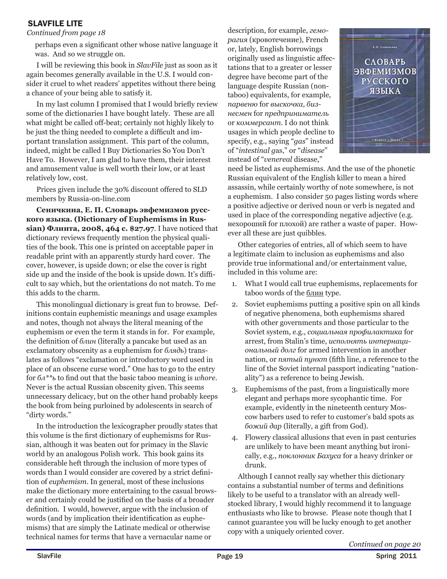### SLAVFILE LITE

### *Continued from page 18*

perhaps even a significant other whose native language it was. And so we struggle on.

I will be reviewing this book in *SlavFile* just as soon as it again becomes generally available in the U.S. I would consider it cruel to whet readers' appetites without there being a chance of your being able to satisfy it.

In my last column I promised that I would briefly review some of the dictionaries I have bought lately. These are all what might be called off-beat; certainly not highly likely to be just the thing needed to complete a difficult and important translation assignment. This part of the column, indeed, might be called I Buy Dictionaries So You Don't Have To. However, I am glad to have them, their interest and amusement value is well worth their low, or at least relatively low, cost.

Prices given include the 30% discount offered to SLD members by Russia-on-line.com

**Сеничкина, Е. П. Словарь эвфемизмов русского языка. (Dictionary of Euphemisms in Russian) Флинта, 2008, 464 с. \$27.97**. I have noticed that dictionary reviews frequently mention the physical qualities of the book. This one is printed on acceptable paper in readable print with an apparently sturdy hard cover. The cover, however, is upside down; or else the cover is right side up and the inside of the book is upside down. It's difficult to say which, but the orientations do not match. To me this adds to the charm.

This monolingual dictionary is great fun to browse. Definitions contain euphemistic meanings and usage examples and notes, though not always the literal meaning of the euphemism or even the term it stands in for. For example, the definition of *блин* (literally a pancake but used as an exclamatory obscenity as a euphemism for *блядь*) translates as follows "exclamation or introductory word used in place of an obscene curse word." One has to go to the entry for *бл\*\*ь* to find out that the basic taboo meaning is *whore*. Never is the actual Russian obscenity given. This seems unnecessary delicacy, but on the other hand probably keeps the book from being purloined by adolescents in search of "dirty words."

In the introduction the lexicographer proudly states that this volume is the first dictionary of euphemisms for Russian, although it was beaten out for primacy in the Slavic world by an analogous Polish work. This book gains its considerable heft through the inclusion of more types of words than I would consider are covered by a strict definition of *euphemism*. In general, most of these inclusions make the dictionary more entertaining to the casual browser and certainly could be justified on the basis of a broader definition. I would, however, argue with the inclusion of words (and by implication their identification as euphemisms) that are simply the Latinate medical or otherwise technical names for terms that have a vernacular name or

description, for example, *геморагия* (кровотечение), French or, lately, English borrowings originally used as linguistic affectations that to a greater or lesser degree have become part of the language despite Russian (nontaboo) equivalents, for example, *парвеню* for *выскочка, бизнесмен* for *предприниматель* or *коммерсант*. I do not think usages in which people decline to specify, e.g., saying "*gas*" instead of "*intestinal g*as," or "*disease*" instead of "*venereal* disease,"



need be listed as euphemisms. And the use of the phonetic Russian equivalent of the English killer to mean a hired assassin, while certainly worthy of note somewhere, is not a euphemism. I also consider 50 pages listing words where a positive adjective or derived noun or vеrb is negated and used in place of the corresponding negative adjective (e.g. нехороший for плохой) are rather a waste of paper. However all these are just quibbles.

Other categories of entries, all of which seem to have a legitimate claim to inclusion as euphemisms and also provide true informational and/or entertainment value, included in this volume are:

- 1. What I would call true euphemisms, replacements for taboo words of the блин type.
- 2. Soviet euphemisms putting a positive spin on all kinds of negative phenomena, both euphemisms shared with other governments and those particular to the Soviet system, e.g., *социальная профилактика* for arrest, from Stalin's time, *исполнять интернациональный долг* for armed intervention in another nation, or *пятый пункт* (fifth line, a reference to the line of the Soviet internal passport indicating "nationality") as a reference to being Jewish.
- 3. Euphemisms of the past, from a linguistically more elegant and perhaps more sycophantic time. For example, evidently in the nineteenth century Moscow barbers used to refer to customer's bald spots as *божий дар* (literally, a gift from God).
- 4. Flowery classical allusions that even in past centuries are unlikely to have been meant anything but ironically, e.g., *поклонник Бахуса* for a heavy drinker or drunk.

Although I cannot really say whether this dictionary contains a substantial number of terms and definitions likely to be useful to a translator with an already wellstocked library, I would highly recommend it to language enthusiasts who like to browse. Please note though that I cannot guarantee you will be lucky enough to get another copy with a uniquely oriented cover.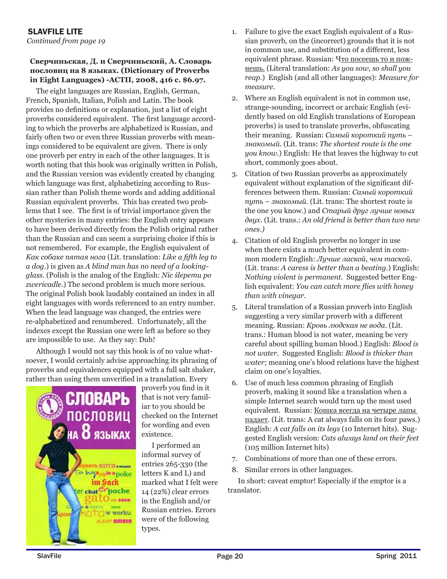### *Continued from page 19* SLAVFILE LITE

#### **Сверчиньская, Д. и Сверчиньский, А. Словарь пословиц на 8 языках. (Dictionary of Proverbs in Eight Languages) -АСТП, 2008, 416 с. \$6.97.**

The eight languages are Russian, English, German, French, Spanish, Italian, Polish and Latin. The book provides no definitions or explanation, just a list of eight proverbs considered equivalent. The first language according to which the proverbs are alphabetized is Russian, and fairly often two or even three Russian proverbs with meanings considered to be equivalent are given. There is only one proverb per entry in each of the other languages. It is worth noting that this book was originally written in Polish, and the Russian version was evidently created by changing which language was first, alphabetizing according to Russian rather than Polish theme words and adding additional Russian equivalent proverbs. This has created two problems that I see. The first is of trivial importance given the other mysteries in many entries: the English entry appears to have been derived directly from the Polish original rather than the Russian and can seem a surprising choice if this is not remembered. For example, the English equivalent of *Как собаке пятая нога* (Lit. translation: *Like a fifth leg to a dog*.) is given as *A blind man has no need of a lookingglass*. (Polish is the analog of the English: *Nic ślepemu po zwericadle*.) The second problem is much more serious. The original Polish book laudably contained an index in all eight languages with words referenced to an entry number. When the lead language was changed, the entries were re-alphabetized and renumbered. Unfortunately, all the indexes except the Russian one were left as before so they are impossible to use. As they say: Duh!

Although I would not say this book is of no value whatsoever, I would certainly advise approaching its phrasing of proverbs and equivalences equipped with a full salt shaker, rather than using them unverified in a translation. Every



proverb you find in it that is not very familiar to you should be checked on the Internet for wording and even existence.

I performed an informal survey of entries 265-330 (the letters K and L) and marked what I felt were 14 (22%) clear errors in the English and/or Russian entries. Errors were of the following types.

- 1. Failure to give the exact English equivalent of a Russian proverb, on the (incorrect) grounds that it is not in common use, and substitution of a different, less equivalent phrase. Russian: Что посеешь то и пожнешь. (Literal translation: *As you sow, so shall you reap*.) English (and all other languages): *Measure for measure*.
- 2. Where an English equivalent is not in common use, strange-sounding, incorrect or archaic English (evidently based on old English translations of European proverbs) is used to translate proverbs, obfuscating their meaning. Russian: *Самый короткий путь – знакомый*. (Lit. trans: *The shortest route is the one you know*.) English: He that leaves the highway to cut short, commonly goes about.
- 3. Citation of two Russian proverbs as approximately equivalent without explanation of the significant differences between them. Russian: *Самый короткий путь – знакомый.* (Lit. trans: The shortest route is the one you know.) and *Старый друг лучше новых двух.* (Lit. trans.: *An old friend is better than two new ones.)*
- 4. Citation of old English proverbs no longer in use when there exists a much better equivalent in common modern English: *Лучше лаской, чем таской.* (Lit. trans: *A caress is better than a beating*.) English: *Nothing violent is permanent.* Suggested better English equivalent: *You can catch more flies with honey than with vinegar*.
- 5. Literal translation of a Russian proverb into English suggesting a very similar proverb with a different meaning. Russian: *Кровь людская не вода*. (Lit. trans.: Human blood is not water, meaning be very careful about spilling human blood.) English: *Blood is not water*. Suggested English: *Blood is thicker than water*; meaning one's blood relations have the highest claim on one's loyalties.
- 6. Use of much less common phrasing of English proverb, making it sound like a translation when a simple Internet search would turn up the most used equivalent. Russian: Кошка всегда на четыре лапы падает. (Lit. trans: A cat always falls on its four paws.) English: *A cat falls on its legs* (10 Internet hits). Suggested English version: *Cats always land on their feet* (105 million Internet hits)
- 7. Combinations of more than one of these errors.
- 8. Similar errors in other languages.

In short: caveat emptor! Especially if the emptor is a translator.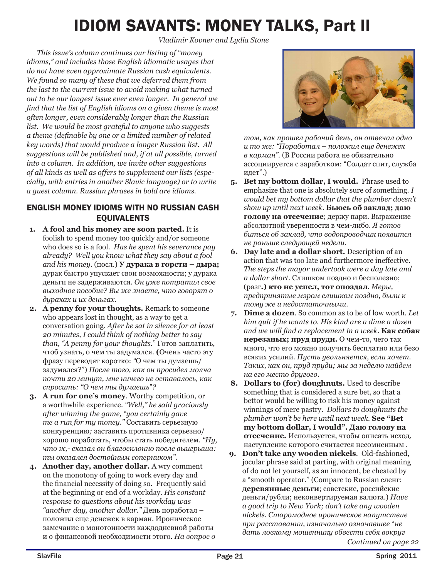## IDIOM SAVANTS: MONEY TALKS, Part II

 *Vladimir Kovner and Lydia Stone*

*This issue's column continues our listing of "money idioms," and includes those English idiomatic usages that do not have even approximate Russian cash equivalents. We found so many of these that we deferred them from the last to the current issue to avoid making what turned out to be our longest issue ever even longer. In general we find that the list of English idioms on a given theme is most often longer, even considerably longer than the Russian list. We would be most grateful to anyone who suggests a theme (definable by one or a limited number of related key words) that would produce a longer Russian list. All suggestions will be published and, if at all possible, turned into a column. In addition, we invite other suggestions of all kinds as well as offers to supplement our lists (especially, with entries in another Slavic language) or to write a guest column. Russian phrases in bold are idioms.* 

### ENGLISH MONEY IDIOMS WITH NO RUSSIAN CASH EQUIVALENTS

- **1. A fool and his money are soon parted.** It is foolish to spend money too quickly and/or someone who does so is a fool. *Has he spent his severance pay already? Well you know what they say about a fool and his money*. (посл.) **У дурака в горсти – дыра;**  дурак быстро упускает свои возможности; у дурака деньги не задерживаются. *Он уже потратил свое выходное пособие? Вы же знаете, что говорят о дураках и их деньгах.*
- **2. A penny for your thoughts.** Remark to someone who appears lost in thought, as a way to get a conversation going. *After he sat in silence for at least 20 minutes, I could think of nothing better to say than, "A penny for your thoughts*." Готов заплатить, чтоб узнать, о чем ты задумался. **(**Очень часто эту фразу переводят коротко: *"*О чем ты думаешь/ задумался?") *После того, как он просидел молча почти 20 минут, мне ничего не оставалось, как спросить: "О чем ты думаешь*"*?*
- **3. A run for one's money**. Worthy competition, or a worthwhile experience. *"Well," he said graciously after winning the game, "you certainly gave me a run for my money."* Составить серьезную конкуренцию*;* заставить противника серьезно/ хорошо поработать, чтобы стать победителем. *"Ну, что ж,- сказал он благосклонно после выигрыша: ты оказался достойным соперником".*
- **4. Another day, another dollar.** A wry comment on the monotony of going to work every day and the financial necessity of doing so. Frequently said at the beginning or end of a workday. *His constant response to questions about his workday was "another day, another dollar."* День поработал – положил еще денежек в карман*.* Ироническое замечание о монотонности каждодневной работы и о финансовой необходимости этого. *На вопрос о*



*том, как прошел рабочий день, он отвечал одно и то же: "Поработал – положил еще денежек в карман".* (В России работа не обязательно ассоциируется с заработком: "Солдат спит, служба идет".)

- **5. Bet my bottom dollar, I would.** Phrase used to emphasize that one is absolutely sure of something. *I would bet my bottom dollar that the plumber doesn't show up until next week.* **Бьюсь об заклад; даю голову на отсечение**; держу пари. Выражение абсолютной уверенности в чем-либо. *Я готов биться об заклад, что водопроводчик появится не раньше следующей недели.*
- **6. Day late and a dollar short.** Description of an action that was too late and furthermore ineffective. *The steps the mayor undertook were a day late and a dollar short.* Слишком поздно и бесполезно; (разг**.) кто не успел, тот опоздал***. Меры, предпринятые мэром слишком поздно, были к тому же и недостаточными*.
- **7. Dime a dozen**. So common as to be of low worth. *Let him quit if he wants to. His kind are a dime a dozen and we will find a replacement in a week*. **Как собак нерезаных; пруд пруди.** О чем-то, чего так много, что его можно получить бесплатно или безо всяких усилий. *Пусть увольняется, если хочет. Таких, как он, пруд пруди; мы за неделю найдем на его место другого.*
- **8. Dollars to (for) doughnuts.** Used to describe something that is considered a sure bet, so that a bettor would be willing to risk his money against winnings of mere pastry. *Dollars to doughnuts the plumber won't be here until next week.* **See "Bet my bottom dollar, I would". Даю голову на отсечение.** Используется, чтобы описать исход, наступление которого считается несомненным .
- *Continued on page 22* **9. Don't take any wooden nickels**. Old-fashioned, jocular phrase said at parting, with original meaning of do not let yourself, as an innocent, be cheated by a "smooth operator." (Compare to Russian сленг: **деревянные деньги**; советские, российские деньги/рубли; неконвертируемая валюта.) *Have a good trip to New York; don't take any wooden nickels. Старомодное ироническое напутствие при расставании, изначально означавшее* "*не дать ловкому мошеннику обвести себя вокруг*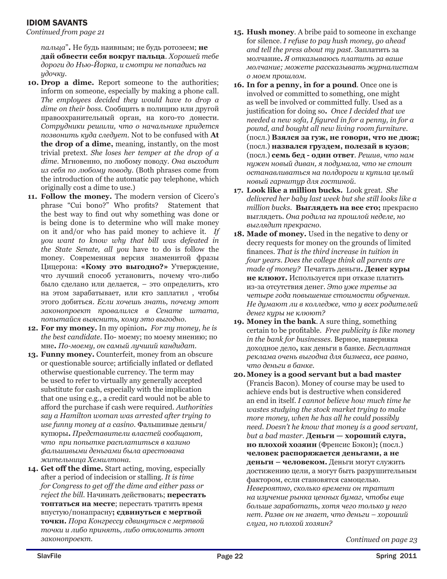### IDIOM SAVANTS

*Continued from page 21* 

*пальца*"**.** Не будь наивным; не будь ротозеем; **не дай обвести себя вокруг пальца**. *Хорошей тебе дороги до Нью-Йорка, и смотри не попадись на удочку.*

- **10. Drop a dime.** Report someone to the authorities; inform on someone, especially by making a phone call. *The employees decided they would have to drop a dime on their boss.* Сообщить в полицию или другой правоохранительный орган, на кого-то донести*. Сотрудники решили, что о начальнике придется позвонить куда следует.* Not to be confused with **At the drop of a dime,** meaning, instantly, on the most trivial pretext. *She loses her temper at the drop of a dime.* Мгновенно, по любому поводу. *Она выходит из себя по любому поводу.* (Both phrases come from the introduction of the automatic pay telephone, which originally cost a dime to use.)
- **11. Follow the money.** The modern version of Cicero's phrase "Cui bono?" Who profits? Statement that the best way to find out why something was done or is being done is to determine who will make money on it and/or who has paid money to achieve it*. If you want to know why that bill was defeated in the State Senate, all you* have to do is follow the money. Современная версия знаменитой фразы Цицерона: **«Кому это выгодно?»** Утверждение, что лучший способ установить, почему что-либо было сделано или делается, – это определить, кто на этом зарабатывает, или кто заплатил , чтобы этого добиться. *Если хочешь знать, почему этот законопроект провалился в Сенате штата, попытайся выяснить, кому это выгодно.*
- **12. For my money.** In my opinion**.** *For my money, he is the best candidate.* По- моему; по моему мнению; по мне**.** *По-моему, он самый лучший кандидат.*
- **13. Funny money.** Counterfeit, money from an obscure or questionable source; artificially inflated or deflated otherwise questionable currency. The term may be used to refer to virtually any generally accepted substitute for cash, especially with the implication that one using e.g., a credit card would not be able to afford the purchase if cash were required. *Authorities say a Hamilton woman was arrested after trying to use funny money at a casino.* Фальшивые деньги/ купюры**.** *Представители властей сообщают, что при попытке расплатиться в казино фальшивыми деньгами была арестована жительница Хемилтона.*
- **14. Get off the dime.** Start acting, moving, especially after a period of indecision or stalling. *It is time for Congress to get off the dime and either pass or reject the bill.* Начинать действовать; **перестать топтаться на месте**; перестать тратить время впустую/понапрасну**; сдвинуться с мертвой точки.** *Пора Конгрессу сдвинуться с мертвой точки и либо принять, либо отклонить этот законопроект.*
- **15. Hush money**. A bribe paid to someone in exchange for silence. *I refuse to pay hush money, go ahead and tell the press about my past.* Заплатить за молчание**.** *Я отказываюсь платить за ваше молчание; можете рассказывать журналистам о моем прошлом.*
- **16. In for a penny, in for a pound**. Once one is involved or committed to something, one might as well be involved or committed fully. Used as a justification for doing so**.** *Once I decided that we needed a new sofa, I figured in for a penny, in for a pound, and bought all new living room furniture.*  (посл.) **Взялся за гуж, не говори, что не дюж;**  (посл.) **назвался груздем, полезай в кузов**; (посл.) **семь бед - один ответ***. Решив, что нам нужен новый диван, я подумала, что не стоит останавливаться на полдороги и купила целый новый гарнитур для гостиной.*
- **17. Look like a million bucks.**Look great*. She delivered her baby last week but she still looks like a million bucks.* **Выглядеть на все сто;** прекрасно выглядеть. *Она родила на прошлой неделе, но выглядит прекрасно.*
- **18. Made of money.** Used in the negative to deny or decry requests for money on the grounds of limited finances*. That is the third increase in tuition in four years. Does the college think all parents are made of money?* Печатать деньги**. Денег куры не клюют.** Используется при отказе платить из-за отсутствия денег. *Это уже третье за четыре года повышение стоимости обучения. Не думают ли в колледже, что у всех родителей денег куры не клюют?*
- **19. Money in the bank**. A sure thing, something certain to be profitable*. Free publicity is like money in the bank for businesses*. Верное, наверняка доходное дело**,** как деньги в банке. *Бесплатная реклама очень выгодна для бизнеса, все равно, что деньги в банке.*
- **20.Money is a good servant but a bad master** (Francis Bacon)*.* Money of course may be used to achieve ends but is destructive when considered an end in itself*. I cannot believe how much time he wastes studying the stock market trying to make more money, when he has all he could possibly need. Doesn't he know that money is a good servant, but a bad master*. **Деньги — хороший слуга, но плохой хозяин** (Френсис Бэкон)**;** (посл.) **человек распоряжается деньгами, а не деньги – человеком.** Деньги могут служить достижению цели, а могут быть разрушительным фактором, если становятся самоцелью. *Невероятно, сколько времени он тратит на изучение рынка ценных бумаг, чтобы еще больше заработать, хотя чего только у него нет. Разве он не знает, что деньги – хороший слуга, но плохой хозяин?*

*Continued on page 23*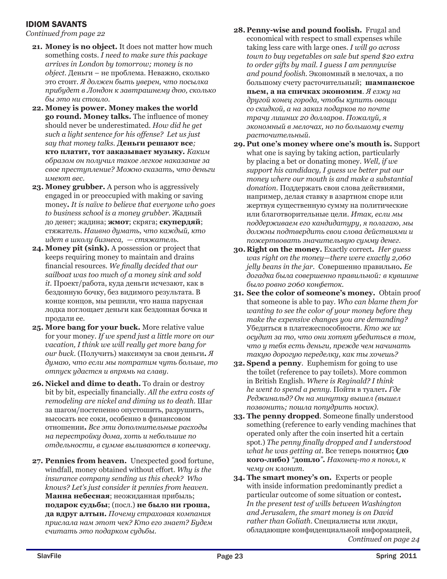### IDIOM SAVANTS

*Continued from page 22*

- **21. Money is no object.** It does not matter how much something costs. *I need to make sure this package arrives in London by tomorrow; money is no object.* Деньги – не проблема*.* Неважно, сколько это стоит*. Я должен быть уверен, что посылка прибудет в Лондон к завтрашнему дню, сколько бы это ни стоило.*
- **22. Money is power. Money makes the world go round. Money talks.** The influence of money should never be underestimated. *How did he get such a light sentence for his offense? Let us just say that money talks.* **Деньги решают все***;*  **кто платит, тот заказывает музыку***. Каким образом он получил такое легкое наказание за свое преступление? Можно сказать, что деньги имеют вес.*
- **23. Money grubber.** A person who is aggressively engaged in or preoccupied with making or saving money**.** *It is naïve to believe that everyone who goes to business school is a money grubber.* Жадный до денег; жадина; **жмот**; скряга; **скупердяй**; стяжатель. *Наивно думать, что каждый, кто идет в школу бизнеса, — стяжатель.*
- **24. Money pit (sink).** A possession or project that keeps requiring money to maintain and drains financial resources*. We finally decided that our sailboat was too much of a money sink and sold it.* Проект/работа, куда деньги исчезают, как в бездонную бочку, без видимого результата. В конце концов, мы решили, что наша парусная лодка поглощает деньги как бездонная бочка и продали ее.
- **25. More bang for your buck.** More relative value for your money. *If we spend just a little more on our vacation, I think we will really get more bang for our buck.* (Получить) максимум за свои деньги*. Я думаю, что если мы потратим чуть больше, то отпуск удастся и впрямь на славу.*
- **26. Nickel and dime to death.** To drain or destroy bit by bit, especially financially. *All the extra costs of remodeling are nickel and diming us to death*. Шаг за шагом/постепенно опустошить, разрушить, высосать все соки, особенно в финансовом отношении**.** *Все эти дополнительные расходы на перестройку дома, хоть и небольшие по отдельности, в сумме выливаются в копеечку.*
- **27. Pennies from heaven.** Unexpected good fortune, windfall, money obtained without effort. *Why is the insurance company sending us this check? Who knows? Let's just consider it pennies from heaven.*  **Манна небесная**; неожиданная прибыль; **подарок судьбы**; (посл.) **не было ни гроша, да вдруг алтын.** *Почему страховая компания прислала нам этот чек? Кто его знает? Будем считать это подарком судьбы.*
- **28. Penny-wise and pound foolish.** Frugal and economical with respect to small expenses while taking less care with large ones. *I will go across town to buy vegetables on sale but spend \$20 extra to order gifts by mail. I guess I am pennywise and pound foolish.* Экономный в мелочах, а по большому счету расточительный; **шампанское пьем, а на спичках экономим**. *Я езжу на другой конец города, чтобы купить овощи со скидкой, а на заказ подарков по почте трачу лишних 20 долларов. Пожалуй, я экономный в мелочах, но по большому счету расточительный.*
- **29. Put one's money where one's mouth is.** Support what one is saying by taking action, particularly by placing a bet or donating money. *Well, if we support his candidacy, I guess we better put our money where our mouth is and make a substantial donation.* Поддержать свои слова действиями, например, делая ставку в азартном споре или жертвуя существенную сумму на политические или благотворительные цели. *Итак, если мы поддерживаем его кандидатуру, я полагаю, мы должны подтвердить свои слова действиями и пожертвовать значительную сумму денег.*
- **30.Right on the money.** Exactly correct*. Her guess was right on the money—there were exactly 2,060 jelly beans in the jar.* Совершенно правильно*. Ее догадка была совершенно правильной: в кувшине было ровно 2060 конфеток.*
- **31. See the color of someone's money.** Obtain proof that someone is able to pay. *Who can blame them for wanting to see the color of your money before they make the expensive changes you are demanding?*  Убедиться в платежеспособности. *Кто же их осудит за то, что они хотят убедиться в том, что у тебя есть деньги, прежде чем начинать такую дорогую переделку, как ты хочешь?*
- **32. Spend a penny**.Euphemism for going to use the toilet (reference to pay toilets). More common in British English. *Where is Reginald? I think he went to spend a penny.* Пойти в туалет**.** *Где Реджинальд? Он на минутку вышел (вышел позвонить; пошла попудрить носик).*
- **33. The penny dropped**. Someone finally understood something (reference to early vending machines that operated only after the coin inserted hit a certain spot.) *The penny finally dropped and I understood what he was getting at.* Все теперь понятно**; (до кого-либо)** *"***дошло***"***.** *Наконец-то я понял, к чему он клонит.*
- *Continued on page 24* **34. The smart money's on.** Experts or people with inside information predominantly predict a particular outcome of some situation or contest**.**  *In the present test of wills between Washington and Jerusalem, the smart money is on David rather than Goliath*. Специалисты или люди, обладающие конфиденциальной информацией,